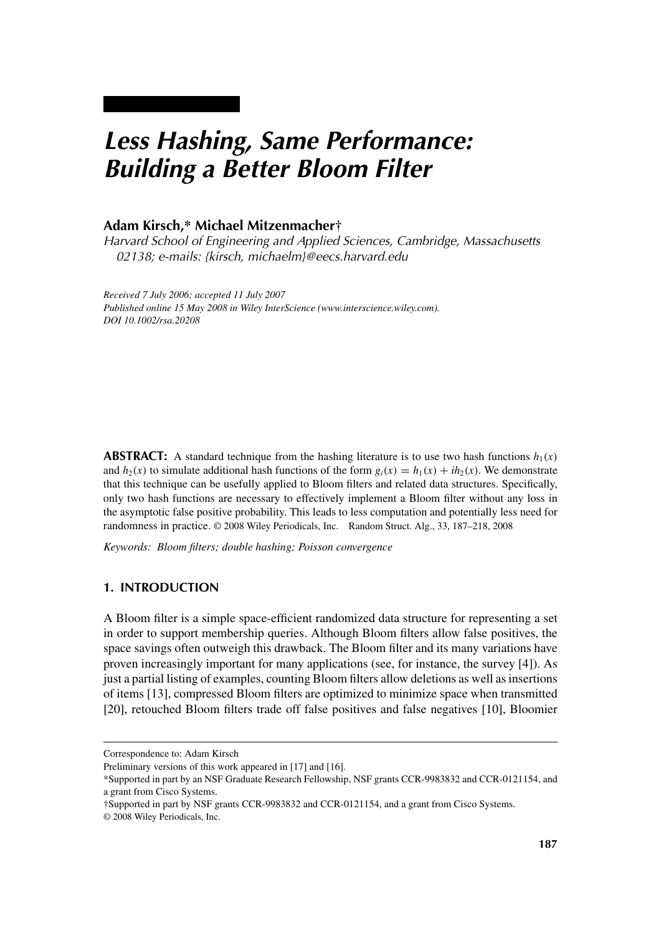# *Less Hashing, Same Performance: Building a Better Bloom Filter*

# **Adam Kirsch,\* Michael Mitzenmacher†**

*Harvard School of Engineering and Applied Sciences, Cambridge, Massachusetts 02138; e-mails: {kirsch, michaelm}@eecs.harvard.edu*

*Received 7 July 2006; accepted 11 July 2007 Published online 15 May 2008 in Wiley InterScience (www.interscience.wiley.com). DOI 10.1002/rsa.20208*

**ABSTRACT:** A standard technique from the hashing literature is to use two hash functions  $h_1(x)$ and  $h_2(x)$  to simulate additional hash functions of the form  $g_i(x) = h_1(x) + ih_2(x)$ . We demonstrate that this technique can be usefully applied to Bloom filters and related data structures. Specifically, only two hash functions are necessary to effectively implement a Bloom filter without any loss in the asymptotic false positive probability. This leads to less computation and potentially less need for randomness in practice. © 2008 Wiley Periodicals, Inc. Random Struct. Alg., 33, 187–218, 2008

*Keywords: Bloom filters; double hashing; Poisson convergence*

# **1. INTRODUCTION**

A Bloom filter is a simple space-efficient randomized data structure for representing a set in order to support membership queries. Although Bloom filters allow false positives, the space savings often outweigh this drawback. The Bloom filter and its many variations have proven increasingly important for many applications (see, for instance, the survey [4]). As just a partial listing of examples, counting Bloom filters allow deletions as well as insertions of items [13], compressed Bloom filters are optimized to minimize space when transmitted [20], retouched Bloom filters trade off false positives and false negatives [10], Bloomier

Correspondence to: Adam Kirsch

Preliminary versions of this work appeared in [17] and [16].

<sup>\*</sup>Supported in part by an NSF Graduate Research Fellowship, NSF grants CCR-9983832 and CCR-0121154, and a grant from Cisco Systems.

<sup>†</sup>Supported in part by NSF grants CCR-9983832 and CCR-0121154, and a grant from Cisco Systems.

<sup>© 2008</sup> Wiley Periodicals, Inc.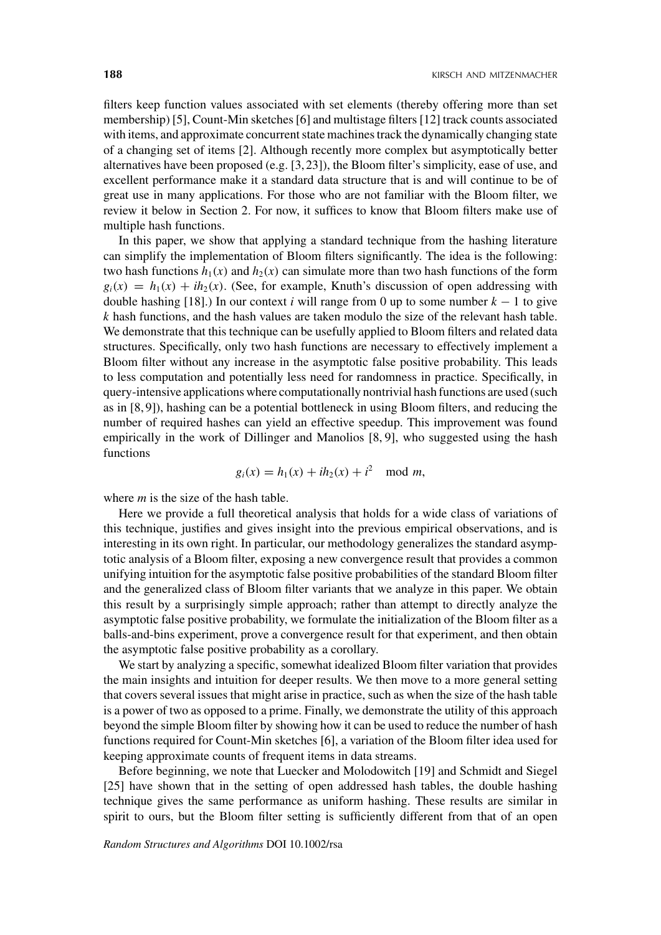filters keep function values associated with set elements (thereby offering more than set membership) [5], Count-Min sketches [6] and multistage filters [12] track counts associated with items, and approximate concurrent state machines track the dynamically changing state of a changing set of items [2]. Although recently more complex but asymptotically better alternatives have been proposed (e.g. [3, 23]), the Bloom filter's simplicity, ease of use, and excellent performance make it a standard data structure that is and will continue to be of great use in many applications. For those who are not familiar with the Bloom filter, we review it below in Section 2. For now, it suffices to know that Bloom filters make use of multiple hash functions.

In this paper, we show that applying a standard technique from the hashing literature can simplify the implementation of Bloom filters significantly. The idea is the following: two hash functions  $h_1(x)$  and  $h_2(x)$  can simulate more than two hash functions of the form  $g_i(x) = h_1(x) + ih_2(x)$ . (See, for example, Knuth's discussion of open addressing with double hashing [18].) In our context *i* will range from 0 up to some number  $k - 1$  to give *k* hash functions, and the hash values are taken modulo the size of the relevant hash table. We demonstrate that this technique can be usefully applied to Bloom filters and related data structures. Specifically, only two hash functions are necessary to effectively implement a Bloom filter without any increase in the asymptotic false positive probability. This leads to less computation and potentially less need for randomness in practice. Specifically, in query-intensive applications where computationally nontrivial hash functions are used (such as in [8, 9]), hashing can be a potential bottleneck in using Bloom filters, and reducing the number of required hashes can yield an effective speedup. This improvement was found empirically in the work of Dillinger and Manolios [8, 9], who suggested using the hash functions

$$
g_i(x) = h_1(x) + ih_2(x) + i^2 \mod m,
$$

where *m* is the size of the hash table.

Here we provide a full theoretical analysis that holds for a wide class of variations of this technique, justifies and gives insight into the previous empirical observations, and is interesting in its own right. In particular, our methodology generalizes the standard asymptotic analysis of a Bloom filter, exposing a new convergence result that provides a common unifying intuition for the asymptotic false positive probabilities of the standard Bloom filter and the generalized class of Bloom filter variants that we analyze in this paper. We obtain this result by a surprisingly simple approach; rather than attempt to directly analyze the asymptotic false positive probability, we formulate the initialization of the Bloom filter as a balls-and-bins experiment, prove a convergence result for that experiment, and then obtain the asymptotic false positive probability as a corollary.

We start by analyzing a specific, somewhat idealized Bloom filter variation that provides the main insights and intuition for deeper results. We then move to a more general setting that covers several issues that might arise in practice, such as when the size of the hash table is a power of two as opposed to a prime. Finally, we demonstrate the utility of this approach beyond the simple Bloom filter by showing how it can be used to reduce the number of hash functions required for Count-Min sketches [6], a variation of the Bloom filter idea used for keeping approximate counts of frequent items in data streams.

Before beginning, we note that Luecker and Molodowitch [19] and Schmidt and Siegel [25] have shown that in the setting of open addressed hash tables, the double hashing technique gives the same performance as uniform hashing. These results are similar in spirit to ours, but the Bloom filter setting is sufficiently different from that of an open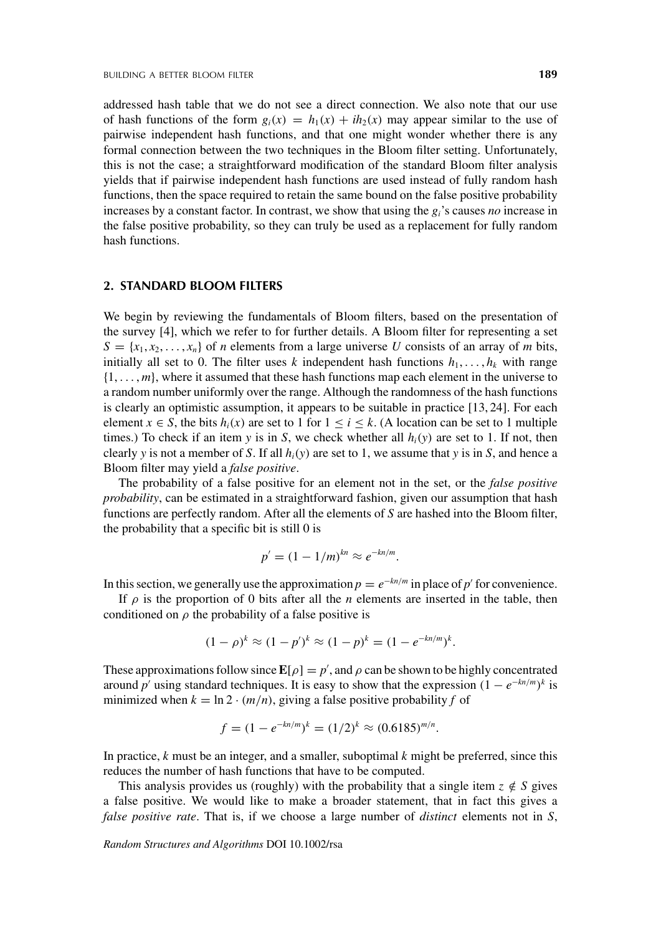addressed hash table that we do not see a direct connection. We also note that our use of hash functions of the form  $g_i(x) = h_1(x) + ih_2(x)$  may appear similar to the use of pairwise independent hash functions, and that one might wonder whether there is any formal connection between the two techniques in the Bloom filter setting. Unfortunately, this is not the case; a straightforward modification of the standard Bloom filter analysis yields that if pairwise independent hash functions are used instead of fully random hash functions, then the space required to retain the same bound on the false positive probability increases by a constant factor. In contrast, we show that using the *gi*'s causes *no* increase in the false positive probability, so they can truly be used as a replacement for fully random hash functions.

## **2. STANDARD BLOOM FILTERS**

We begin by reviewing the fundamentals of Bloom filters, based on the presentation of the survey [4], which we refer to for further details. A Bloom filter for representing a set  $S = \{x_1, x_2, \dots, x_n\}$  of *n* elements from a large universe *U* consists of an array of *m* bits, initially all set to 0. The filter uses *k* independent hash functions  $h_1, \ldots, h_k$  with range {1, ... , *m*}, where it assumed that these hash functions map each element in the universe to a random number uniformly over the range. Although the randomness of the hash functions is clearly an optimistic assumption, it appears to be suitable in practice [13, 24]. For each element  $x \in S$ , the bits  $h_i(x)$  are set to 1 for  $1 \le i \le k$ . (A location can be set to 1 multiple times.) To check if an item *y* is in *S*, we check whether all  $h_i(y)$  are set to 1. If not, then clearly *y* is not a member of *S*. If all  $h_i(y)$  are set to 1, we assume that *y* is in *S*, and hence a Bloom filter may yield a *false positive*.

The probability of a false positive for an element not in the set, or the *false positive probability*, can be estimated in a straightforward fashion, given our assumption that hash functions are perfectly random. After all the elements of *S* are hashed into the Bloom filter, the probability that a specific bit is still 0 is

$$
p'=(1-1/m)^{kn}\approx e^{-kn/m}.
$$

In this section, we generally use the approximation  $p = e^{-kn/m}$  in place of *p'* for convenience.

If  $\rho$  is the proportion of 0 bits after all the *n* elements are inserted in the table, then conditioned on  $\rho$  the probability of a false positive is

$$
(1 - \rho)^k \approx (1 - p')^k \approx (1 - p)^k = (1 - e^{-kn/m})^k.
$$

These approximations follow since  $\mathbf{E}[\rho] = p'$ , and  $\rho$  can be shown to be highly concentrated around *p'* using standard techniques. It is easy to show that the expression  $(1 - e^{-kn/m})^k$  is minimized when  $k = \ln 2 \cdot (m/n)$ , giving a false positive probability f of

$$
f = (1 - e^{-kn/m})^k = (1/2)^k \approx (0.6185)^{m/n}.
$$

In practice, *k* must be an integer, and a smaller, suboptimal *k* might be preferred, since this reduces the number of hash functions that have to be computed.

This analysis provides us (roughly) with the probability that a single item  $z \notin S$  gives a false positive. We would like to make a broader statement, that in fact this gives a *false positive rate*. That is, if we choose a large number of *distinct* elements not in *S*,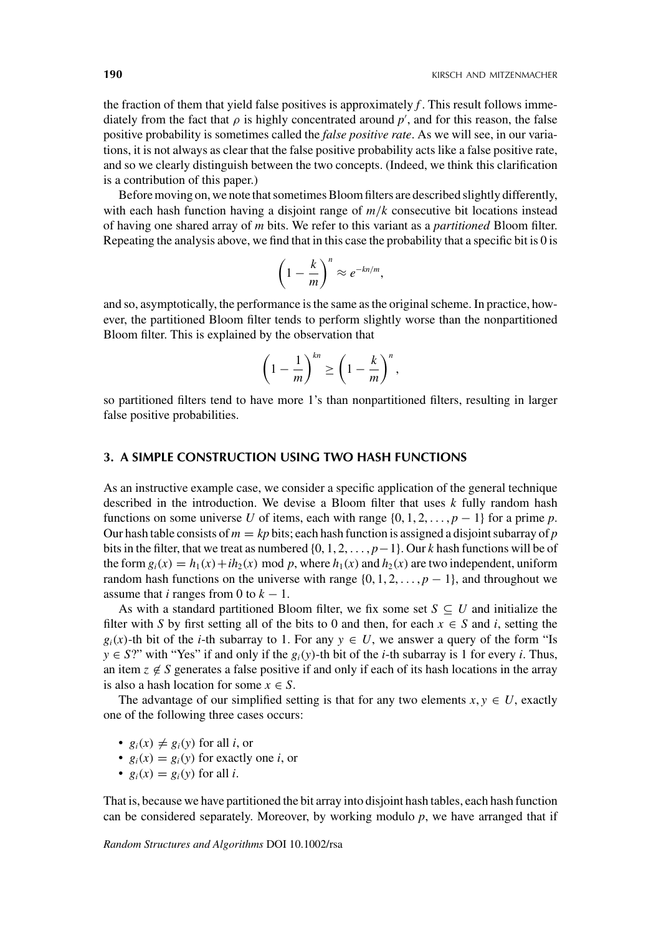the fraction of them that yield false positives is approximately  $f$ . This result follows immediately from the fact that  $\rho$  is highly concentrated around  $p'$ , and for this reason, the false positive probability is sometimes called the *false positive rate*. As we will see, in our variations, it is not always as clear that the false positive probability acts like a false positive rate, and so we clearly distinguish between the two concepts. (Indeed, we think this clarification is a contribution of this paper.)

Before moving on, we note that sometimes Bloom filters are described slightly differently, with each hash function having a disjoint range of *m*/*k* consecutive bit locations instead of having one shared array of *m* bits. We refer to this variant as a *partitioned* Bloom filter. Repeating the analysis above, we find that in this case the probability that a specific bit is 0 is

$$
\left(1-\frac{k}{m}\right)^n \approx e^{-kn/m},
$$

and so, asymptotically, the performance is the same as the original scheme. In practice, however, the partitioned Bloom filter tends to perform slightly worse than the nonpartitioned Bloom filter. This is explained by the observation that

$$
\left(1-\frac{1}{m}\right)^{kn} \ge \left(1-\frac{k}{m}\right)^n,
$$

so partitioned filters tend to have more 1's than nonpartitioned filters, resulting in larger false positive probabilities.

## **3. A SIMPLE CONSTRUCTION USING TWO HASH FUNCTIONS**

As an instructive example case, we consider a specific application of the general technique described in the introduction. We devise a Bloom filter that uses *k* fully random hash functions on some universe *U* of items, each with range  $\{0, 1, 2, \ldots, p - 1\}$  for a prime *p*. Our hash table consists of  $m = kp$  bits; each hash function is assigned a disjoint subarray of  $p$ bits in the filter, that we treat as numbered {0, 1, 2, ... , *p*−1}. Our *k* hash functions will be of the form  $g_i(x) = h_1(x) + ih_2(x)$  mod p, where  $h_1(x)$  and  $h_2(x)$  are two independent, uniform random hash functions on the universe with range  $\{0, 1, 2, \ldots, p - 1\}$ , and throughout we assume that *i* ranges from 0 to  $k - 1$ .

As with a standard partitioned Bloom filter, we fix some set  $S \subseteq U$  and initialize the filter with *S* by first setting all of the bits to 0 and then, for each  $x \in S$  and *i*, setting the  $g_i(x)$ -th bit of the *i*-th subarray to 1. For any  $y \in U$ , we answer a query of the form "Is *y* ∈ *S*?" with "Yes" if and only if the  $g_i(y)$ -th bit of the *i*-th subarray is 1 for every *i*. Thus, an item  $z \notin S$  generates a false positive if and only if each of its hash locations in the array is also a hash location for some  $x \in S$ .

The advantage of our simplified setting is that for any two elements  $x, y \in U$ , exactly one of the following three cases occurs:

- $g_i(x) \neq g_i(y)$  for all *i*, or
- $g_i(x) = g_i(y)$  for exactly one *i*, or
- $g_i(x) = g_i(y)$  for all *i*.

That is, because we have partitioned the bit array into disjoint hash tables, each hash function can be considered separately. Moreover, by working modulo *p*, we have arranged that if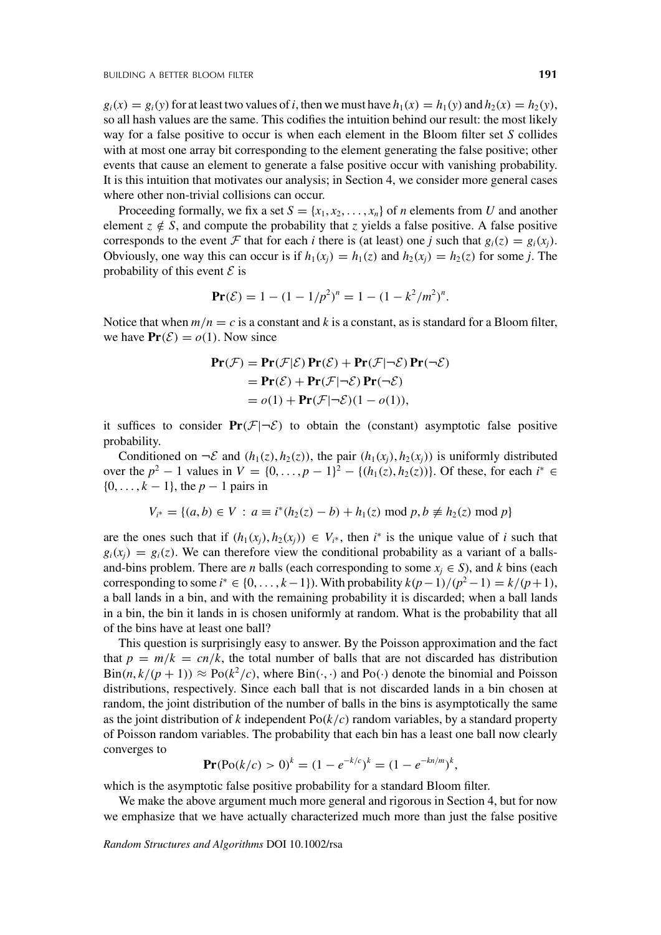$g_i(x) = g_i(y)$  for at least two values of *i*, then we must have  $h_1(x) = h_1(y)$  and  $h_2(x) = h_2(y)$ , so all hash values are the same. This codifies the intuition behind our result: the most likely way for a false positive to occur is when each element in the Bloom filter set *S* collides with at most one array bit corresponding to the element generating the false positive; other events that cause an element to generate a false positive occur with vanishing probability. It is this intuition that motivates our analysis; in Section 4, we consider more general cases where other non-trivial collisions can occur.

Proceeding formally, we fix a set  $S = \{x_1, x_2, \ldots, x_n\}$  of *n* elements from *U* and another element  $z \notin S$ , and compute the probability that *z* yields a false positive. A false positive corresponds to the event F that for each *i* there is (at least) one *j* such that  $g_i(z) = g_i(x_i)$ . Obviously, one way this can occur is if  $h_1(x_i) = h_1(z)$  and  $h_2(x_i) = h_2(z)$  for some *j*. The probability of this event  $\mathcal E$  is

$$
\mathbf{Pr}(\mathcal{E}) = 1 - (1 - 1/p^2)^n = 1 - (1 - k^2/m^2)^n.
$$

Notice that when  $m/n = c$  is a constant and *k* is a constant, as is standard for a Bloom filter, we have  $\text{Pr}(\mathcal{E}) = o(1)$ . Now since

$$
\begin{aligned} \mathbf{Pr}(\mathcal{F}) &= \mathbf{Pr}(\mathcal{F}|\mathcal{E}) \mathbf{Pr}(\mathcal{E}) + \mathbf{Pr}(\mathcal{F}|\neg \mathcal{E}) \mathbf{Pr}(\neg \mathcal{E}) \\ &= \mathbf{Pr}(\mathcal{E}) + \mathbf{Pr}(\mathcal{F}|\neg \mathcal{E}) \mathbf{Pr}(\neg \mathcal{E}) \\ &= o(1) + \mathbf{Pr}(\mathcal{F}|\neg \mathcal{E})(1 - o(1)), \end{aligned}
$$

it suffices to consider  $Pr(F|\neg \mathcal{E})$  to obtain the (constant) asymptotic false positive probability.

Conditioned on  $\neg \mathcal{E}$  and  $(h_1(z), h_2(z))$ , the pair  $(h_1(x_i), h_2(x_i))$  is uniformly distributed over the  $p^2 - 1$  values in  $V = \{0, ..., p - 1\}^2 - \{(h_1(z), h_2(z))\}$ . Of these, for each  $i^* \in$ {0, ... , *k* − 1}, the *p* − 1 pairs in

$$
V_{i^*} = \{(a, b) \in V : a \equiv i^*(h_2(z) - b) + h_1(z) \bmod p, b \not\equiv h_2(z) \bmod p\}
$$

are the ones such that if  $(h_1(x_j), h_2(x_j)) \in V_{i^*}$ , then  $i^*$  is the unique value of *i* such that  $g_i(x_j) = g_i(z)$ . We can therefore view the conditional probability as a variant of a ballsand-bins problem. There are *n* balls (each corresponding to some  $x_j \in S$ ), and *k* bins (each corresponding to some  $i^*$  ∈ {0, . . . ,  $k-1$ }). With probability  $k(p-1)/(p^2-1) = k/(p+1)$ , a ball lands in a bin, and with the remaining probability it is discarded; when a ball lands in a bin, the bin it lands in is chosen uniformly at random. What is the probability that all of the bins have at least one ball?

This question is surprisingly easy to answer. By the Poisson approximation and the fact that  $p = m/k = cn/k$ , the total number of balls that are not discarded has distribution  $\text{Bin}(n, k/(p+1)) \approx \text{Po}(k^2/c)$ , where  $\text{Bin}(\cdot, \cdot)$  and  $\text{Po}(\cdot)$  denote the binomial and Poisson distributions, respectively. Since each ball that is not discarded lands in a bin chosen at random, the joint distribution of the number of balls in the bins is asymptotically the same as the joint distribution of  $k$  independent  $Po(k/c)$  random variables, by a standard property of Poisson random variables. The probability that each bin has a least one ball now clearly converges to

$$
\mathbf{Pr}(\text{Po}(k/c) > 0)^k = (1 - e^{-k/c})^k = (1 - e^{-kn/m})^k,
$$

which is the asymptotic false positive probability for a standard Bloom filter.

We make the above argument much more general and rigorous in Section 4, but for now we emphasize that we have actually characterized much more than just the false positive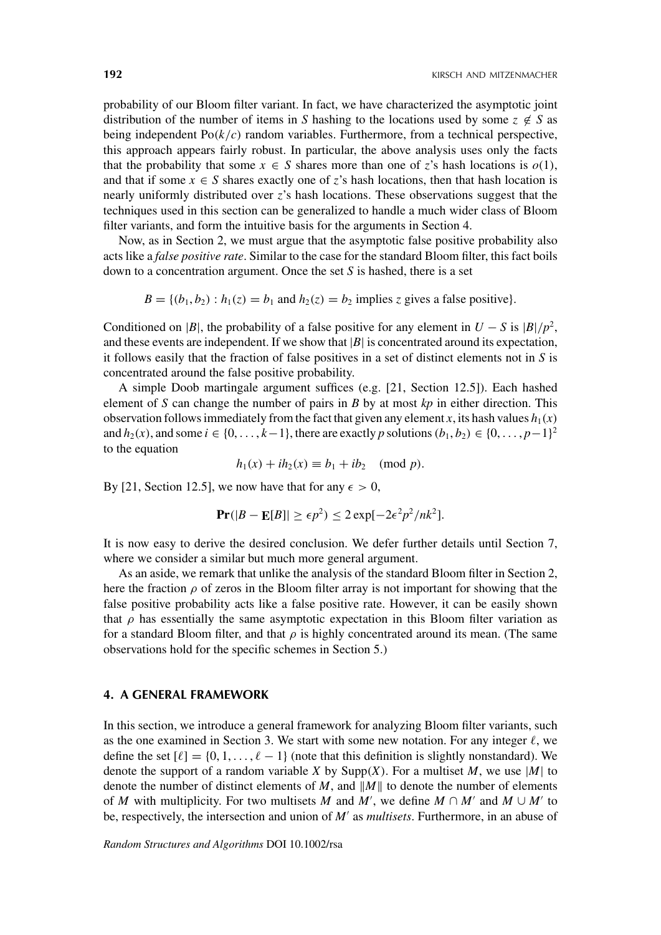probability of our Bloom filter variant. In fact, we have characterized the asymptotic joint distribution of the number of items in *S* hashing to the locations used by some  $z \notin S$  as being independent  $Po(k/c)$  random variables. Furthermore, from a technical perspective, this approach appears fairly robust. In particular, the above analysis uses only the facts that the probability that some  $x \in S$  shares more than one of *z*'s hash locations is  $o(1)$ , and that if some  $x \in S$  shares exactly one of z's hash locations, then that hash location is nearly uniformly distributed over *z*'s hash locations. These observations suggest that the techniques used in this section can be generalized to handle a much wider class of Bloom filter variants, and form the intuitive basis for the arguments in Section 4.

Now, as in Section 2, we must argue that the asymptotic false positive probability also acts like a *false positive rate*. Similar to the case for the standard Bloom filter, this fact boils down to a concentration argument. Once the set *S* is hashed, there is a set

 $B = \{(b_1, b_2) : h_1(z) = b_1 \text{ and } h_2(z) = b_2 \text{ implies } z \text{ gives a false positive}\}.$ 

Conditioned on |*B*|, the probability of a false positive for any element in  $U - S$  is  $|B|/p^2$ , and these events are independent. If we show that  $|B|$  is concentrated around its expectation, it follows easily that the fraction of false positives in a set of distinct elements not in *S* is concentrated around the false positive probability.

A simple Doob martingale argument suffices (e.g. [21, Section 12.5]). Each hashed element of *S* can change the number of pairs in *B* by at most *kp* in either direction. This observation follows immediately from the fact that given any element *x*, its hash values  $h_1(x)$ and  $h_2(x)$ , and some  $i \in \{0, \ldots, k-1\}$ , there are exactly *p* solutions  $(b_1, b_2) \in \{0, \ldots, p-1\}^2$ to the equation

$$
h_1(x) + ih_2(x) \equiv b_1 + ib_2 \pmod{p}.
$$

By [21, Section 12.5], we now have that for any  $\epsilon > 0$ ,

$$
\mathbf{Pr}(|B - \mathbf{E}[B]| \ge \epsilon p^2) \le 2 \exp[-2\epsilon^2 p^2/nk^2].
$$

It is now easy to derive the desired conclusion. We defer further details until Section 7, where we consider a similar but much more general argument.

As an aside, we remark that unlike the analysis of the standard Bloom filter in Section 2, here the fraction  $\rho$  of zeros in the Bloom filter array is not important for showing that the false positive probability acts like a false positive rate. However, it can be easily shown that  $\rho$  has essentially the same asymptotic expectation in this Bloom filter variation as for a standard Bloom filter, and that  $\rho$  is highly concentrated around its mean. (The same observations hold for the specific schemes in Section 5.)

## **4. A GENERAL FRAMEWORK**

In this section, we introduce a general framework for analyzing Bloom filter variants, such as the one examined in Section 3. We start with some new notation. For any integer  $\ell$ , we define the set  $[\ell] = \{0, 1, \ldots, \ell - 1\}$  (note that this definition is slightly nonstandard). We denote the support of a random variable *X* by Supp $(X)$ . For a multiset *M*, we use  $|M|$  to denote the number of distinct elements of  $M$ , and  $||M||$  to denote the number of elements of *M* with multiplicity. For two multisets *M* and *M'*, we define  $M \cap M'$  and  $M \cup M'$  to be, respectively, the intersection and union of *M'* as *multisets*. Furthermore, in an abuse of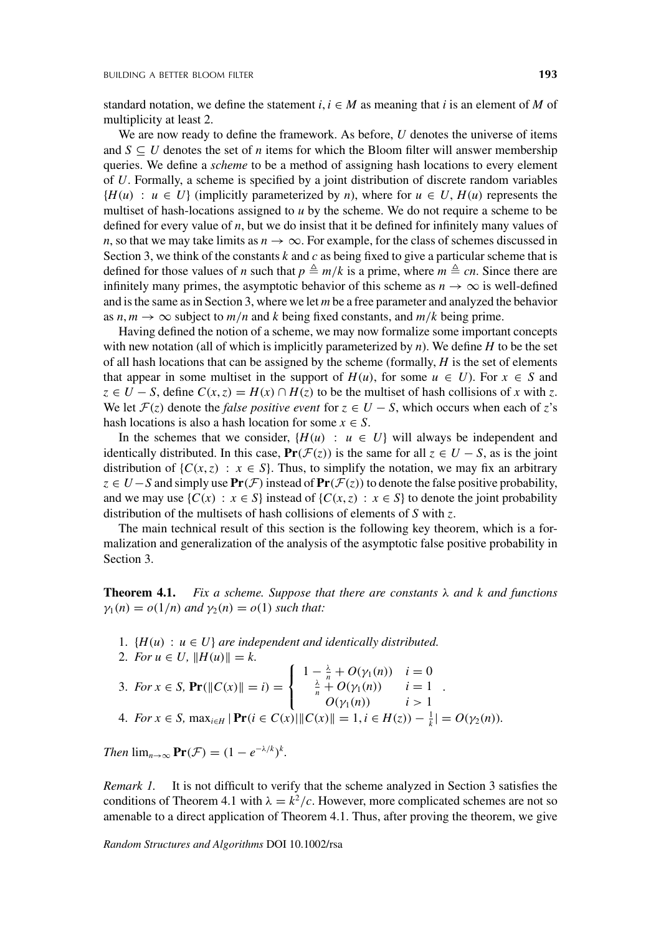standard notation, we define the statement  $i, i \in M$  as meaning that *i* is an element of *M* of multiplicity at least 2.

We are now ready to define the framework. As before, *U* denotes the universe of items and  $S \subseteq U$  denotes the set of *n* items for which the Bloom filter will answer membership queries. We define a *scheme* to be a method of assigning hash locations to every element of *U*. Formally, a scheme is specified by a joint distribution of discrete random variables  ${H(u) : u \in U}$  (implicitly parameterized by *n*), where for  $u \in U$ ,  $H(u)$  represents the multiset of hash-locations assigned to *u* by the scheme. We do not require a scheme to be defined for every value of *n*, but we do insist that it be defined for infinitely many values of *n*, so that we may take limits as  $n \to \infty$ . For example, for the class of schemes discussed in Section 3, we think of the constants *k* and *c* as being fixed to give a particular scheme that is defined for those values of *n* such that  $p \triangleq m/k$  is a prime, where  $m \triangleq cn$ . Since there are infinitely many primes, the asymptotic behavior of this scheme as  $n \to \infty$  is well-defined and is the same as in Section 3, where we let *m* be a free parameter and analyzed the behavior as  $n, m \to \infty$  subject to  $m/n$  and *k* being fixed constants, and  $m/k$  being prime.

Having defined the notion of a scheme, we may now formalize some important concepts with new notation (all of which is implicitly parameterized by *n*). We define *H* to be the set of all hash locations that can be assigned by the scheme (formally, *H* is the set of elements that appear in some multiset in the support of  $H(u)$ , for some  $u \in U$ ). For  $x \in S$  and *z* ∈ *U* − *S*, define  $C(x, z) = H(x) ∩ H(z)$  to be the multiset of hash collisions of *x* with *z*. We let  $\mathcal{F}(z)$  denote the *false positive event* for  $z \in U - S$ , which occurs when each of *z*'s hash locations is also a hash location for some  $x \in S$ .

In the schemes that we consider,  $\{H(u) : u \in U\}$  will always be independent and identically distributed. In this case,  $Pr(\mathcal{F}(z))$  is the same for all  $z \in U - S$ , as is the joint distribution of  $\{C(x, z) : x \in S\}$ . Thus, to simplify the notation, we may fix an arbitrary *z* ∈ *U*−*S* and simply use  $Pr(F)$  instead of  $Pr(F(z))$  to denote the false positive probability, and we may use  $\{C(x) : x \in S\}$  instead of  $\{C(x, z) : x \in S\}$  to denote the joint probability distribution of the multisets of hash collisions of elements of *S* with *z*.

The main technical result of this section is the following key theorem, which is a formalization and generalization of the analysis of the asymptotic false positive probability in Section 3.

**Theorem 4.1.** *Fix a scheme. Suppose that there are constants* λ *and k and functions*  $\gamma_1(n) = o(1/n)$  *and*  $\gamma_2(n) = o(1)$  *such that:* 

- 1.  ${H(u) : u \in U}$  *are independent and identically distributed.*
- 2. *For*  $u \in U$ ,  $||H(u)|| = k$ . 3. *For*  $x \in S$ ,  $Pr(\|C(x)\| = i) =$  $\sqrt{ }$ J  $\mathbf{I}$ 1 −  $\frac{\lambda}{n}$  + *O*(γ<sub>1</sub>(*n*)) *i* = 0<br> $\frac{\lambda}{n}$  + *O*(γ<sub>1</sub>(*n*)) *i* = 1 *O*( $γ_1(n)$ ) *i* > 1 . 4. *For*  $x \in S$ ,  $\max_{i \in H} |\Pr(i \in C(x)| || C(x) || = 1, i \in H(z)) - \frac{1}{k} = O(\gamma_2(n)).$

*Then*  $\lim_{n\to\infty}$   $\mathbf{Pr}(\mathcal{F}) = (1 - e^{-\lambda/k})^k$ .

*Remark 1.* It is not difficult to verify that the scheme analyzed in Section 3 satisfies the conditions of Theorem 4.1 with  $\lambda = k^2/c$ . However, more complicated schemes are not so amenable to a direct application of Theorem 4.1. Thus, after proving the theorem, we give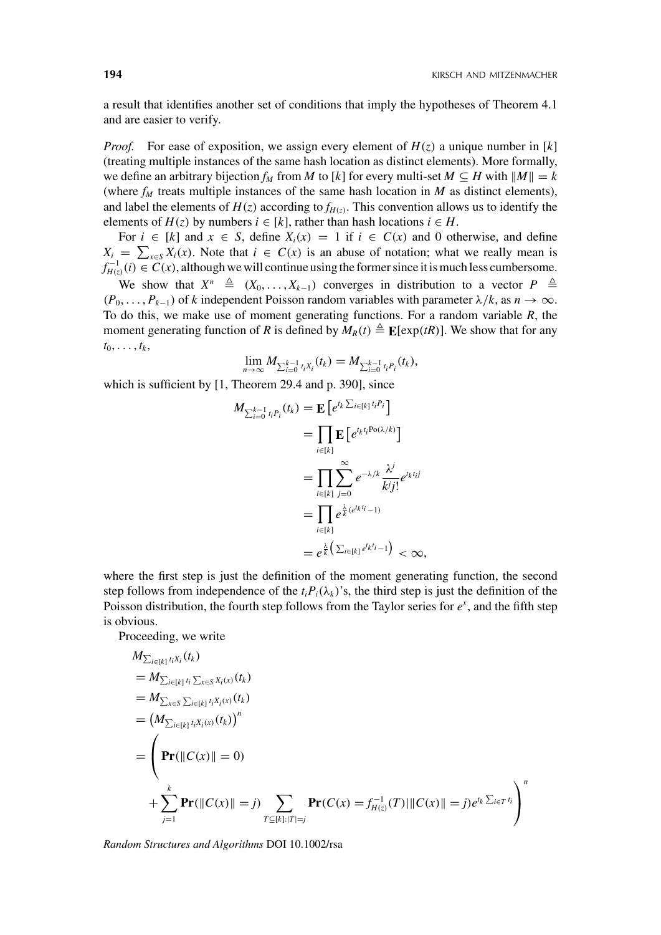a result that identifies another set of conditions that imply the hypotheses of Theorem 4.1 and are easier to verify.

*Proof.* For ease of exposition, we assign every element of  $H(z)$  a unique number in [k] (treating multiple instances of the same hash location as distinct elements). More formally, we define an arbitrary bijection  $f_M$  from  $M$  to  $[k]$  for every multi-set  $M \subseteq H$  with  $||M|| = k$ (where  $f_M$  treats multiple instances of the same hash location in *M* as distinct elements), and label the elements of  $H(z)$  according to  $f_{H(z)}$ . This convention allows us to identify the elements of  $H(z)$  by numbers  $i \in [k]$ , rather than hash locations  $i \in H$ .

For  $i \in [k]$  and  $x \in S$ , define  $X_i(x) = 1$  if  $i \in C(x)$  and 0 otherwise, and define  $X_i = \sum_{x \in S} X_i(x)$ . Note that  $i \in C(x)$  is an abuse of notation; what we really mean is *f*<sub>*H*(*z*)</sub>(*i*) ∈  $\widetilde{C}(x)$ , although we will continue using the former since it is much less cumbersome.

We show that  $X^n \triangleq (X_0, \ldots, X_{k-1})$  converges in distribution to a vector  $P \triangleq$  $(P_0, \ldots, P_{k-1})$  of *k* independent Poisson random variables with parameter  $\lambda/k$ , as  $n \to \infty$ . To do this, we make use of moment generating functions. For a random variable *R*, the moment generating function of *R* is defined by  $M_R(t) \triangleq \mathbb{E}[\exp(tR)]$ . We show that for any  $t_0, \ldots, t_k,$ 

$$
\lim_{n\to\infty} M_{\sum_{i=0}^{k-1} t_i X_i}(t_k) = M_{\sum_{i=0}^{k-1} t_i P_i}(t_k),
$$

which is sufficient by [1, Theorem 29.4 and p. 390], since

$$
M_{\sum_{i=0}^{k-1} t_i P_i}(t_k) = \mathbf{E} \left[ e^{t_k \sum_{i \in [k]} t_i P_i} \right]
$$
  
\n
$$
= \prod_{i \in [k]} \mathbf{E} \left[ e^{t_k t_i \text{Po}(\lambda/k)} \right]
$$
  
\n
$$
= \prod_{i \in [k]} \sum_{j=0}^{\infty} e^{-\lambda/k} \frac{\lambda^j}{kj!} e^{t_k t_j i}
$$
  
\n
$$
= \prod_{i \in [k]} e^{\frac{\lambda}{k} (e^{t_k t_i} - 1)}
$$
  
\n
$$
= e^{\frac{\lambda}{k} \left( \sum_{i \in [k]} e^{t_k t_i} - 1 \right)} < \infty,
$$

where the first step is just the definition of the moment generating function, the second step follows from independence of the  $t_iP_i(\lambda_k)$ 's, the third step is just the definition of the Poisson distribution, the fourth step follows from the Taylor series for  $e^x$ , and the fifth step is obvious.

Proceeding, we write

$$
M_{\sum_{i\in[k]}t_iX_i}(t_k)
$$
  
=  $M_{\sum_{i\in[k]}t_i\sum_{x\in S}X_i(x)}(t_k)$   
=  $M_{\sum_{x\in S}\sum_{i\in[k]}t_iX_i(x)}(t_k)$   
=  $(M_{\sum_{i\in[k]}t_iX_i(x)}(t_k))^n$   
=  $\left(\mathbf{Pr}(\|C(x)\| = 0)$   
+  $\sum_{j=1}^k \mathbf{Pr}(\|C(x)\| = j) \sum_{T\subseteq[k]:|T|=j} \mathbf{Pr}(C(x) = f_{H(z)}^{-1}(T)\|C(x)\| = j)e^{t_k\sum_{i\in T}t_i}\right)^n$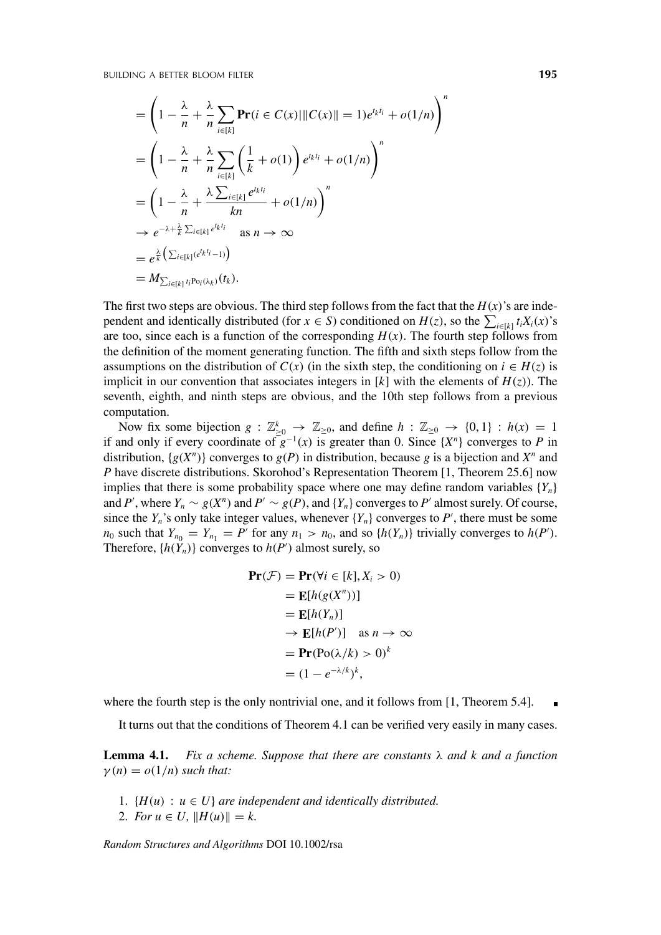$$
= \left(1 - \frac{\lambda}{n} + \frac{\lambda}{n} \sum_{i \in [k]} \mathbf{Pr}(i \in C(x) | \|C(x)\| = 1)e^{t_k t_i} + o(1/n)\right)^n
$$
  
\n
$$
= \left(1 - \frac{\lambda}{n} + \frac{\lambda}{n} \sum_{i \in [k]} \left(\frac{1}{k} + o(1)\right) e^{t_k t_i} + o(1/n)\right)^n
$$
  
\n
$$
= \left(1 - \frac{\lambda}{n} + \frac{\lambda \sum_{i \in [k]} e^{t_k t_i}}{kn} + o(1/n)\right)^n
$$
  
\n
$$
\rightarrow e^{-\lambda + \frac{\lambda}{k} \sum_{i \in [k]} e^{t_k t_i}} \text{ as } n \rightarrow \infty
$$
  
\n
$$
= e^{\frac{\lambda}{k} \left(\sum_{i \in [k]} (e^{t_k t_i} - 1)\right)}
$$
  
\n
$$
= M_{\sum_{i \in [k]} t_i \text{Po}_i(\lambda_k)}(t_k).
$$

The first two steps are obvious. The third step follows from the fact that the  $H(x)$ 's are independent and identically distributed (for  $x \in S$ ) conditioned on  $H(z)$ , so the  $\sum_{i \in [k]} t_i X_i(x)$ 's are too, since each is a function of the corresponding  $H(x)$ . The fourth step follows from the definition of the moment generating function. The fifth and sixth steps follow from the assumptions on the distribution of  $C(x)$  (in the sixth step, the conditioning on  $i \in H(z)$  is implicit in our convention that associates integers in  $[k]$  with the elements of  $H(z)$ ). The seventh, eighth, and ninth steps are obvious, and the 10th step follows from a previous computation.

Now fix some bijection  $g: \mathbb{Z}_{\geq 0}^k \to \mathbb{Z}_{\geq 0}$ , and define  $h: \mathbb{Z}_{\geq 0} \to \{0, 1\}$ :  $h(x) = 1$ if and only if every coordinate of  $g^{-1}(x)$  is greater than 0. Since  $\{X^n\}$  converges to *P* in distribution,  $\{g(X^n)\}\)$  converges to  $g(P)$  in distribution, because g is a bijection and  $X^n$  and *P* have discrete distributions. Skorohod's Representation Theorem [1, Theorem 25.6] now implies that there is some probability space where one may define random variables  ${Y_n}$ and *P'*, where  $Y_n \sim g(X^n)$  and  $P' \sim g(P)$ , and  $\{Y_n\}$  converges to *P'* almost surely. Of course, since the  $Y_n$ 's only take integer values, whenever  $\{Y_n\}$  converges to  $P'$ , there must be some *n*<sub>0</sub> such that  $Y_{n_0} = Y_{n_1} = P'$  for any  $n_1 > n_0$ , and so  $\{h(Y_n)\}\$ trivially converges to  $h(P')$ . Therefore,  $\{h(Y_n)\}$  converges to  $h(P')$  almost surely, so

$$
\begin{aligned} \mathbf{Pr}(\mathcal{F}) &= \mathbf{Pr}(\forall i \in [k], X_i > 0) \\ &= \mathbf{E}[h(g(X^n))] \\ &= \mathbf{E}[h(Y_n)] \\ &\to \mathbf{E}[h(P')] \quad \text{as } n \to \infty \\ &= \mathbf{Pr}(\text{Po}(\lambda/k) > 0)^k \\ &= (1 - e^{-\lambda/k})^k, \end{aligned}
$$

where the fourth step is the only nontrivial one, and it follows from [1, Theorem 5.4].

It turns out that the conditions of Theorem 4.1 can be verified very easily in many cases.

**Lemma 4.1.** *Fix a scheme. Suppose that there are constants* λ *and k and a function*  $\gamma(n) = o(1/n)$  *such that:* 

- 1.  ${H(u) : u \in U}$  *are independent and identically distributed.*
- 2. *For*  $u \in U$ ,  $||H(u)|| = k$ .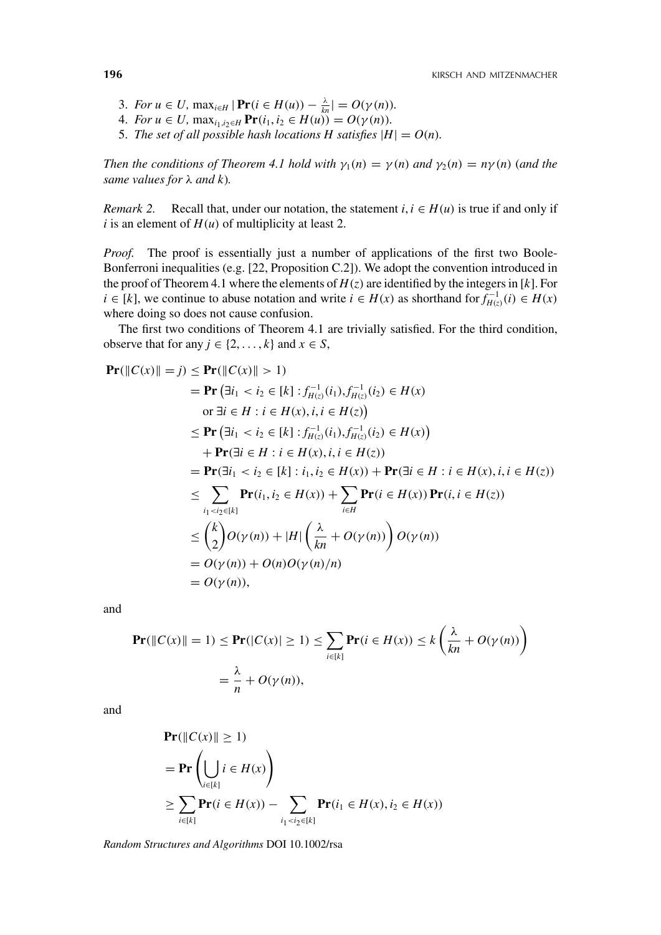- 3. *For*  $u \in U$ ,  $\max_{i \in H} |\Pr(i \in H(u)) \frac{\lambda}{kn}| = O(\gamma(n)).$
- 4. *For*  $u \in U$ ,  $\max_{i_1, i_2 \in H} \mathbf{Pr}(i_1, i_2 \in H(u)) = O(\gamma(n)).$
- 5. *The set of all possible hash locations H satisfies*  $|H| = O(n)$ *.*

*Then the conditions of Theorem 4.1 hold with*  $\gamma_1(n) = \gamma(n)$  *and*  $\gamma_2(n) = n\gamma(n)$  *(and the same values for* λ *and k*)*.*

*Remark 2.* Recall that, under our notation, the statement  $i, i \in H(u)$  is true if and only if *i* is an element of  $H(u)$  of multiplicity at least 2.

*Proof.* The proof is essentially just a number of applications of the first two Boole-Bonferroni inequalities (e.g. [22, Proposition C.2]). We adopt the convention introduced in the proof of Theorem 4.1 where the elements of  $H(z)$  are identified by the integers in [k]. For *i* ∈ [*k*], we continue to abuse notation and write *i* ∈ *H*(*x*) as shorthand for  $f_{H(z)}^{-1}(i) \text{ ∈ } H(x)$ where doing so does not cause confusion.

The first two conditions of Theorem 4.1 are trivially satisfied. For the third condition, observe that for any  $j \in \{2, ..., k\}$  and  $x \in S$ ,

$$
\begin{aligned}\n\mathbf{Pr}(\|C(x)\| = j) &\leq \mathbf{Pr}(\|C(x)\| > 1) \\
&= \mathbf{Pr}(\exists i_1 < i_2 \in [k] : f_{H(z)}^{-1}(i_1), f_{H(z)}^{-1}(i_2) \in H(x) \\
&\text{or } \exists i \in H : i \in H(x), i, i \in H(z)\n\end{aligned}
$$
\n
$$
\leq \mathbf{Pr}(\exists i_1 < i_2 \in [k] : f_{H(z)}^{-1}(i_1), f_{H(z)}^{-1}(i_2) \in H(x)) \\
&\quad + \mathbf{Pr}(\exists i \in H : i \in H(x), i, i \in H(z)) \\
&= \mathbf{Pr}(\exists i_1 < i_2 \in [k] : i_1, i_2 \in H(x)) + \mathbf{Pr}(\exists i \in H : i \in H(x), i, i \in H(z)) \\
\leq \sum_{i_1 < i_2 \in [k]} \mathbf{Pr}(i_1, i_2 \in H(x)) + \sum_{i \in H} \mathbf{Pr}(i \in H(x)) \mathbf{Pr}(i, i \in H(z)) \\
\leq \binom{k}{2} O(\gamma(n)) + |H| \left(\frac{\lambda}{kn} + O(\gamma(n))\right) O(\gamma(n)) \\
&= O(\gamma(n)) + O(n) O(\gamma(n)/n)
$$

and

$$
\begin{aligned} \mathbf{Pr}(\|C(x)\| = 1) &\leq \mathbf{Pr}(|C(x)| \geq 1) \leq \sum_{i \in [k]} \mathbf{Pr}(i \in H(x)) \leq k \left(\frac{\lambda}{kn} + O(\gamma(n))\right) \\ &= \frac{\lambda}{n} + O(\gamma(n)), \end{aligned}
$$

and

$$
\begin{aligned} &\mathbf{Pr}(\|C(x)\| \ge 1) \\ &= \mathbf{Pr}\left(\bigcup_{i \in [k]} i \in H(x)\right) \\ &\ge \sum_{i \in [k]} \mathbf{Pr}(i \in H(x)) - \sum_{i_1 < i_2 \in [k]} \mathbf{Pr}(i_1 \in H(x), i_2 \in H(x)) \end{aligned}
$$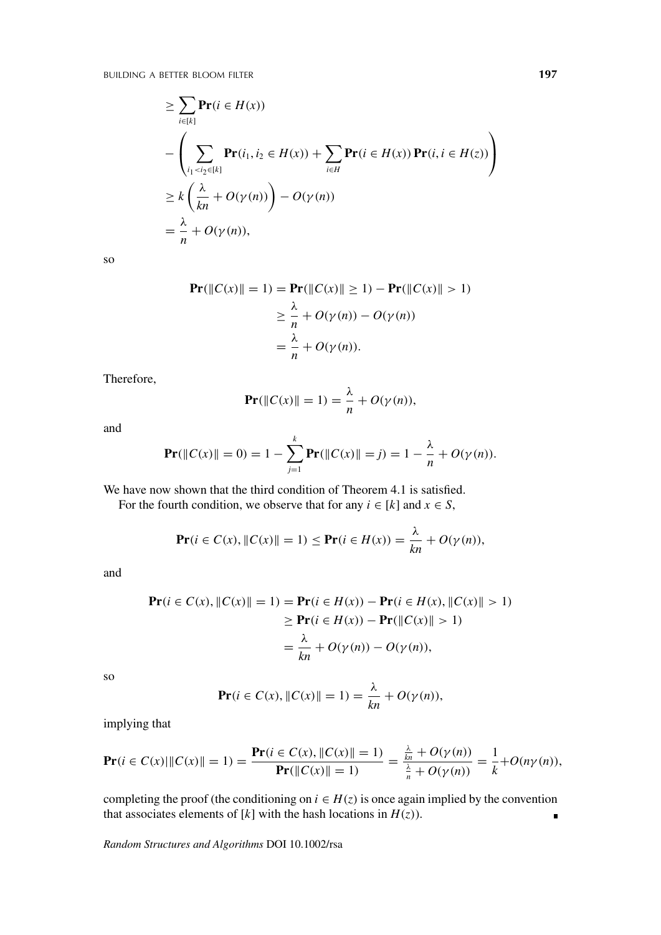BUILDING A BETTER BLOOM FILTER **197**

$$
\geq \sum_{i \in [k]} \mathbf{Pr}(i \in H(x))
$$
  
- 
$$
\left( \sum_{i_1 < i_2 \in [k]} \mathbf{Pr}(i_1, i_2 \in H(x)) + \sum_{i \in H} \mathbf{Pr}(i \in H(x)) \mathbf{Pr}(i, i \in H(z)) \right)
$$
  

$$
\geq k \left( \frac{\lambda}{kn} + O(\gamma(n)) \right) - O(\gamma(n))
$$
  
= 
$$
\frac{\lambda}{n} + O(\gamma(n)),
$$

so

$$
\begin{aligned} \mathbf{Pr}(\|C(x)\| = 1) &= \mathbf{Pr}(\|C(x)\| \ge 1) - \mathbf{Pr}(\|C(x)\| > 1) \\ &\ge \frac{\lambda}{n} + O(\gamma(n)) - O(\gamma(n)) \\ &= \frac{\lambda}{n} + O(\gamma(n)). \end{aligned}
$$

Therefore,

$$
\mathbf{Pr}(\|C(x)\| = 1) = \frac{\lambda}{n} + O(\gamma(n)),
$$

and

$$
\Pr(\|C(x)\| = 0) = 1 - \sum_{j=1}^{k} \Pr(\|C(x)\| = j) = 1 - \frac{\lambda}{n} + O(\gamma(n)).
$$

We have now shown that the third condition of Theorem 4.1 is satisfied.

For the fourth condition, we observe that for any  $i \in [k]$  and  $x \in S$ ,

$$
\mathbf{Pr}(i \in C(x), \|C(x)\| = 1) \leq \mathbf{Pr}(i \in H(x)) = \frac{\lambda}{kn} + O(\gamma(n)),
$$

and

$$
\begin{aligned} \mathbf{Pr}(i \in C(x), \|C(x)\| = 1) &= \mathbf{Pr}(i \in H(x)) - \mathbf{Pr}(i \in H(x), \|C(x)\| > 1) \\ &\ge \mathbf{Pr}(i \in H(x)) - \mathbf{Pr}(\|C(x)\| > 1) \\ &= \frac{\lambda}{kn} + O(\gamma(n)) - O(\gamma(n)), \end{aligned}
$$

so

$$
\Pr(i \in C(x), \|C(x)\| = 1) = \frac{\lambda}{kn} + O(\gamma(n)),
$$

implying that

$$
\mathbf{Pr}(i \in C(x) | \|C(x)\| = 1) = \frac{\mathbf{Pr}(i \in C(x), \|C(x)\| = 1)}{\mathbf{Pr}(\|C(x)\| = 1)} = \frac{\frac{\lambda}{kn} + O(\gamma(n))}{\frac{\lambda}{n} + O(\gamma(n))} = \frac{1}{k} + O(n\gamma(n)),
$$

completing the proof (the conditioning on  $i \in H(z)$  is once again implied by the convention that associates elements of  $[k]$  with the hash locations in  $H(z)$ ).  $\blacksquare$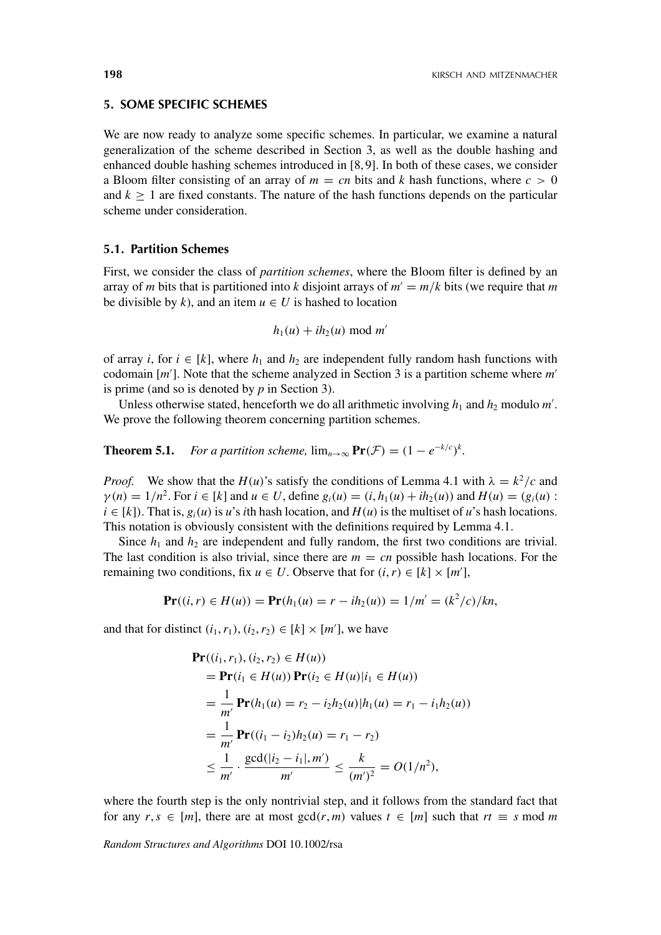## **5. SOME SPECIFIC SCHEMES**

We are now ready to analyze some specific schemes. In particular, we examine a natural generalization of the scheme described in Section 3, as well as the double hashing and enhanced double hashing schemes introduced in [8, 9]. In both of these cases, we consider a Bloom filter consisting of an array of  $m = cn$  bits and k hash functions, where  $c > 0$ and  $k \geq 1$  are fixed constants. The nature of the hash functions depends on the particular scheme under consideration.

# **5.1. Partition Schemes**

First, we consider the class of *partition schemes*, where the Bloom filter is defined by an array of *m* bits that is partitioned into *k* disjoint arrays of  $m' = m/k$  bits (we require that *m* be divisible by  $k$ ), and an item  $u \in U$  is hashed to location

$$
h_1(u) + ih_2(u) \bmod m'
$$

of array *i*, for  $i \in [k]$ , where  $h_1$  and  $h_2$  are independent fully random hash functions with codomain [*m* ]. Note that the scheme analyzed in Section 3 is a partition scheme where *m* is prime (and so is denoted by *p* in Section 3).

Unless otherwise stated, henceforth we do all arithmetic involving  $h_1$  and  $h_2$  modulo  $m'$ . We prove the following theorem concerning partition schemes.

**Theorem 5.1.** *For a partition scheme,*  $\lim_{n\to\infty} \mathbf{Pr}(\mathcal{F}) = (1 - e^{-k/c})^k$ *.* 

*Proof.* We show that the *H*(*u*)'s satisfy the conditions of Lemma 4.1 with  $\lambda = k^2/c$  and  $\gamma(n) = 1/n^2$ . For  $i \in [k]$  and  $u \in U$ , define  $g_i(u) = (i, h_1(u) + ih_2(u))$  and  $H(u) = (g_i(u))$ :  $i \in [k]$ ). That is,  $g_i(u)$  is *u*'s *i*th hash location, and  $H(u)$  is the multiset of *u*'s hash locations. This notation is obviously consistent with the definitions required by Lemma 4.1.

Since  $h_1$  and  $h_2$  are independent and fully random, the first two conditions are trivial. The last condition is also trivial, since there are  $m = cn$  possible hash locations. For the remaining two conditions, fix  $u \in U$ . Observe that for  $(i, r) \in [k] \times [m']$ ,

$$
\mathbf{Pr}((i,r) \in H(u)) = \mathbf{Pr}(h_1(u) = r - ih_2(u)) = 1/m' = (k^2/c)/kn,
$$

and that for distinct  $(i_1, r_1), (i_2, r_2) \in [k] \times [m']$ , we have

$$
\begin{split} \mathbf{Pr}((i_1, r_1), (i_2, r_2) \in H(u)) \\ &= \mathbf{Pr}(i_1 \in H(u)) \mathbf{Pr}(i_2 \in H(u)|i_1 \in H(u)) \\ &= \frac{1}{m'} \mathbf{Pr}(h_1(u) = r_2 - i_2 h_2(u)|h_1(u) = r_1 - i_1 h_2(u)) \\ &= \frac{1}{m'} \mathbf{Pr}((i_1 - i_2)h_2(u) = r_1 - r_2) \\ &\le \frac{1}{m'} \cdot \frac{\gcd(|i_2 - i_1|, m')}{m'} \le \frac{k}{(m')^2} = O(1/n^2), \end{split}
$$

where the fourth step is the only nontrivial step, and it follows from the standard fact that for any  $r, s \in [m]$ , there are at most  $gcd(r, m)$  values  $t \in [m]$  such that  $rt \equiv s \mod m$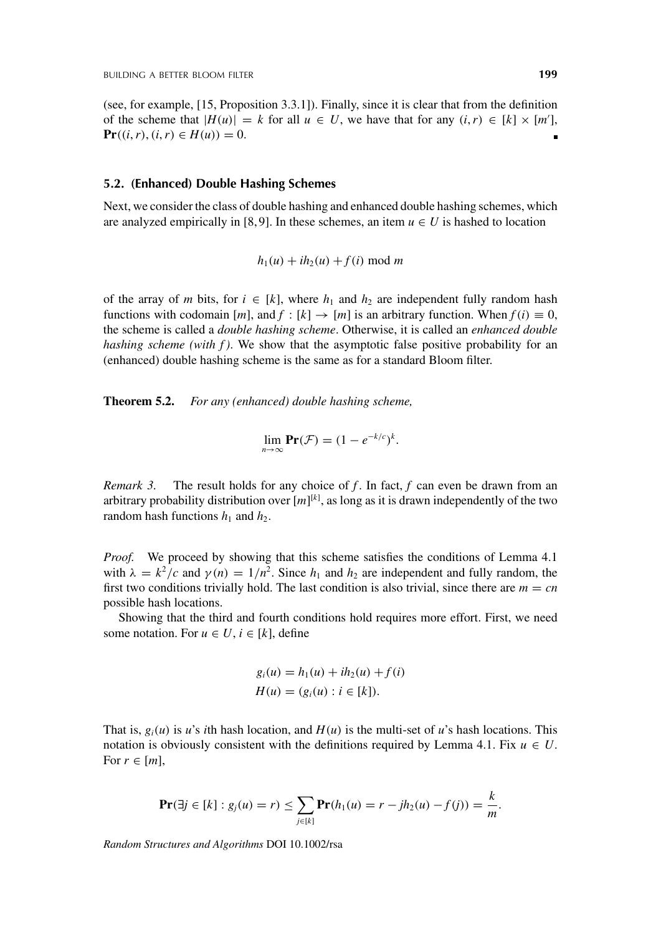(see, for example, [15, Proposition 3.3.1]). Finally, since it is clear that from the definition of the scheme that  $|H(u)| = k$  for all  $u \in U$ , we have that for any  $(i, r) \in [k] \times [m']$ , **Pr**((*i*, *r*), (*i*, *r*) ∈ *H*(*u*)) = 0.

#### **5.2. (Enhanced) Double Hashing Schemes**

Next, we consider the class of double hashing and enhanced double hashing schemes, which are analyzed empirically in [8,9]. In these schemes, an item  $u \in U$  is hashed to location

$$
h_1(u) + ih_2(u) + f(i) \bmod m
$$

of the array of *m* bits, for  $i \in [k]$ , where  $h_1$  and  $h_2$  are independent fully random hash functions with codomain  $[m]$ , and  $f : [k] \rightarrow [m]$  is an arbitrary function. When  $f(i) \equiv 0$ , the scheme is called a *double hashing scheme*. Otherwise, it is called an *enhanced double hashing scheme (with f)*. We show that the asymptotic false positive probability for an (enhanced) double hashing scheme is the same as for a standard Bloom filter.

**Theorem 5.2.** *For any (enhanced) double hashing scheme,*

$$
\lim_{n\to\infty}\mathbf{Pr}(\mathcal{F})=(1-e^{-k/c})^k.
$$

*Remark 3.* The result holds for any choice of *f*. In fact, *f* can even be drawn from an arbitrary probability distribution over  $[m]^{[k]}$ , as long as it is drawn independently of the two random hash functions  $h_1$  and  $h_2$ .

*Proof.* We proceed by showing that this scheme satisfies the conditions of Lemma 4.1 with  $\lambda = k^2/c$  and  $\gamma(n) = 1/n^2$ . Since  $h_1$  and  $h_2$  are independent and fully random, the first two conditions trivially hold. The last condition is also trivial, since there are  $m = cn$ possible hash locations.

Showing that the third and fourth conditions hold requires more effort. First, we need some notation. For  $u \in U$ ,  $i \in [k]$ , define

$$
g_i(u) = h_1(u) + ih_2(u) + f(i)
$$
  

$$
H(u) = (g_i(u) : i \in [k]).
$$

That is,  $g_i(u)$  is *u*'s *i*th hash location, and  $H(u)$  is the multi-set of *u*'s hash locations. This notation is obviously consistent with the definitions required by Lemma 4.1. Fix  $u \in U$ . For  $r \in [m]$ ,

$$
\mathbf{Pr}(\exists j \in [k] : g_j(u) = r) \le \sum_{j \in [k]} \mathbf{Pr}(h_1(u) = r - jh_2(u) - f(j)) = \frac{k}{m}.
$$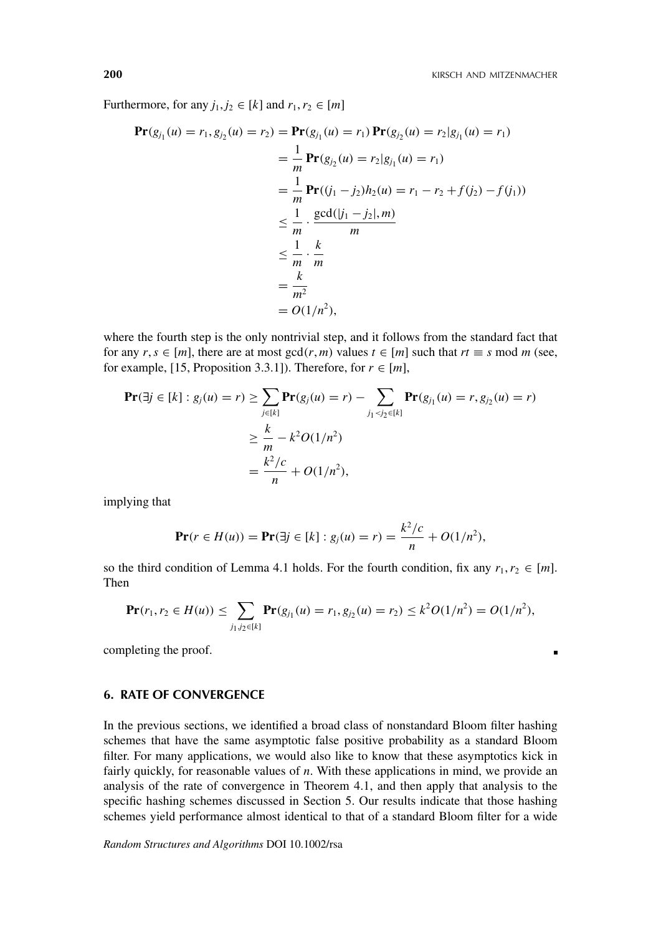×

Furthermore, for any  $j_1, j_2 \in [k]$  and  $r_1, r_2 \in [m]$ 

$$
\begin{aligned} \mathbf{Pr}(g_{j_1}(u) = r_1, g_{j_2}(u) = r_2) &= \mathbf{Pr}(g_{j_1}(u) = r_1) \mathbf{Pr}(g_{j_2}(u) = r_2 | g_{j_1}(u) = r_1) \\ &= \frac{1}{m} \mathbf{Pr}(g_{j_2}(u) = r_2 | g_{j_1}(u) = r_1) \\ &= \frac{1}{m} \mathbf{Pr}((j_1 - j_2)h_2(u) = r_1 - r_2 + f(j_2) - f(j_1)) \\ &\le \frac{1}{m} \cdot \frac{\gcd(|j_1 - j_2|, m)}{m} \\ &\le \frac{1}{m} \cdot \frac{k}{m} \\ &= \frac{k}{m^2} \\ &= O(1/n^2), \end{aligned}
$$

where the fourth step is the only nontrivial step, and it follows from the standard fact that for any  $r, s \in [m]$ , there are at most  $gcd(r, m)$  values  $t \in [m]$  such that  $rt \equiv s \mod m$  (see, for example, [15, Proposition 3.3.1]). Therefore, for  $r \in [m]$ ,

$$
\begin{aligned} \mathbf{Pr}(\exists j \in [k] : g_j(u) = r) &\geq \sum_{j \in [k]} \mathbf{Pr}(g_j(u) = r) - \sum_{j_1 < j_2 \in [k]} \mathbf{Pr}(g_{j_1}(u) = r, g_{j_2}(u) = r) \\ &\geq \frac{k}{m} - k^2 O(1/n^2) \\ &= \frac{k^2/c}{n} + O(1/n^2), \end{aligned}
$$

implying that

$$
\mathbf{Pr}(r \in H(u)) = \mathbf{Pr}(\exists j \in [k] : g_j(u) = r) = \frac{k^2/c}{n} + O(1/n^2),
$$

so the third condition of Lemma 4.1 holds. For the fourth condition, fix any  $r_1, r_2 \in [m]$ . Then

$$
\mathbf{Pr}(r_1, r_2 \in H(u)) \le \sum_{j_1, j_2 \in [k]} \mathbf{Pr}(g_{j_1}(u) = r_1, g_{j_2}(u) = r_2) \le k^2 O(1/n^2) = O(1/n^2),
$$

completing the proof.

# **6. RATE OF CONVERGENCE**

In the previous sections, we identified a broad class of nonstandard Bloom filter hashing schemes that have the same asymptotic false positive probability as a standard Bloom filter. For many applications, we would also like to know that these asymptotics kick in fairly quickly, for reasonable values of *n*. With these applications in mind, we provide an analysis of the rate of convergence in Theorem 4.1, and then apply that analysis to the specific hashing schemes discussed in Section 5. Our results indicate that those hashing schemes yield performance almost identical to that of a standard Bloom filter for a wide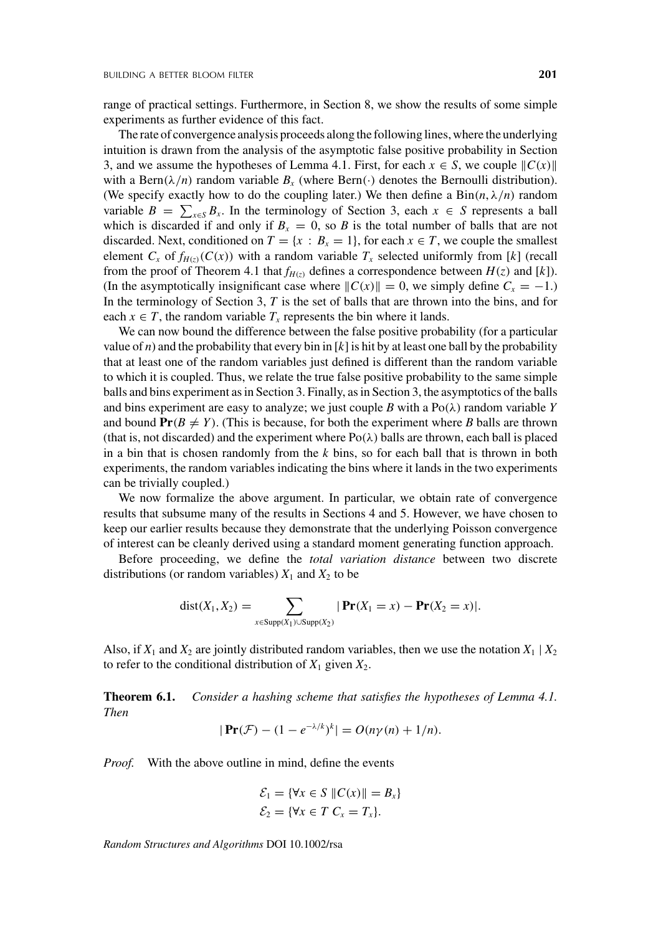range of practical settings. Furthermore, in Section 8, we show the results of some simple experiments as further evidence of this fact.

The rate of convergence analysis proceeds along the following lines, where the underlying intuition is drawn from the analysis of the asymptotic false positive probability in Section 3, and we assume the hypotheses of Lemma 4.1. First, for each  $x \in S$ , we couple  $||C(x)||$ with a Bern( $\lambda/n$ ) random variable  $B_r$  (where Bern(·) denotes the Bernoulli distribution). (We specify exactly how to do the coupling later.) We then define a  $Bin(n, \lambda/n)$  random variable  $B = \sum_{x \in S} B_x$ . In the terminology of Section 3, each  $x \in S$  represents a ball which is discarded if and only if  $B_x = 0$ , so *B* is the total number of balls that are not discarded. Next, conditioned on  $T = \{x : B_x = 1\}$ , for each  $x \in T$ , we couple the smallest element  $C_x$  of  $f_{H(z)}(C(x))$  with a random variable  $T_x$  selected uniformly from [k] (recall from the proof of Theorem 4.1 that  $f_{H(z)}$  defines a correspondence between  $H(z)$  and [k]). (In the asymptotically insignificant case where  $||C(x)|| = 0$ , we simply define  $C_x = -1$ .) In the terminology of Section 3, *T* is the set of balls that are thrown into the bins, and for each  $x \in T$ , the random variable  $T<sub>x</sub>$  represents the bin where it lands.

We can now bound the difference between the false positive probability (for a particular value of *n*) and the probability that every bin in  $[k]$  is hit by at least one ball by the probability that at least one of the random variables just defined is different than the random variable to which it is coupled. Thus, we relate the true false positive probability to the same simple balls and bins experiment as in Section 3. Finally, as in Section 3, the asymptotics of the balls and bins experiment are easy to analyze; we just couple *B* with a  $Po(\lambda)$  random variable *Y* and bound  $Pr(B \neq Y)$ . (This is because, for both the experiment where *B* balls are thrown (that is, not discarded) and the experiment where  $Po(\lambda)$  balls are thrown, each ball is placed in a bin that is chosen randomly from the *k* bins, so for each ball that is thrown in both experiments, the random variables indicating the bins where it lands in the two experiments can be trivially coupled.)

We now formalize the above argument. In particular, we obtain rate of convergence results that subsume many of the results in Sections 4 and 5. However, we have chosen to keep our earlier results because they demonstrate that the underlying Poisson convergence of interest can be cleanly derived using a standard moment generating function approach.

Before proceeding, we define the *total variation distance* between two discrete distributions (or random variables)  $X_1$  and  $X_2$  to be

$$
dist(X_1, X_2) = \sum_{x \in \text{Supp}(X_1) \cup \text{Supp}(X_2)} |\Pr(X_1 = x) - \Pr(X_2 = x)|.
$$

Also, if  $X_1$  and  $X_2$  are jointly distributed random variables, then we use the notation  $X_1 \mid X_2$ to refer to the conditional distribution of  $X_1$  given  $X_2$ .

**Theorem 6.1.** *Consider a hashing scheme that satisfies the hypotheses of Lemma 4.1. Then*

$$
|\Pr(\mathcal{F}) - (1 - e^{-\lambda/k})^k| = O(n\gamma(n) + 1/n).
$$

*Proof.* With the above outline in mind, define the events

$$
\mathcal{E}_1 = \{ \forall x \in S \ \| C(x) \| = B_x \}
$$
  

$$
\mathcal{E}_2 = \{ \forall x \in T \ C_x = T_x \}.
$$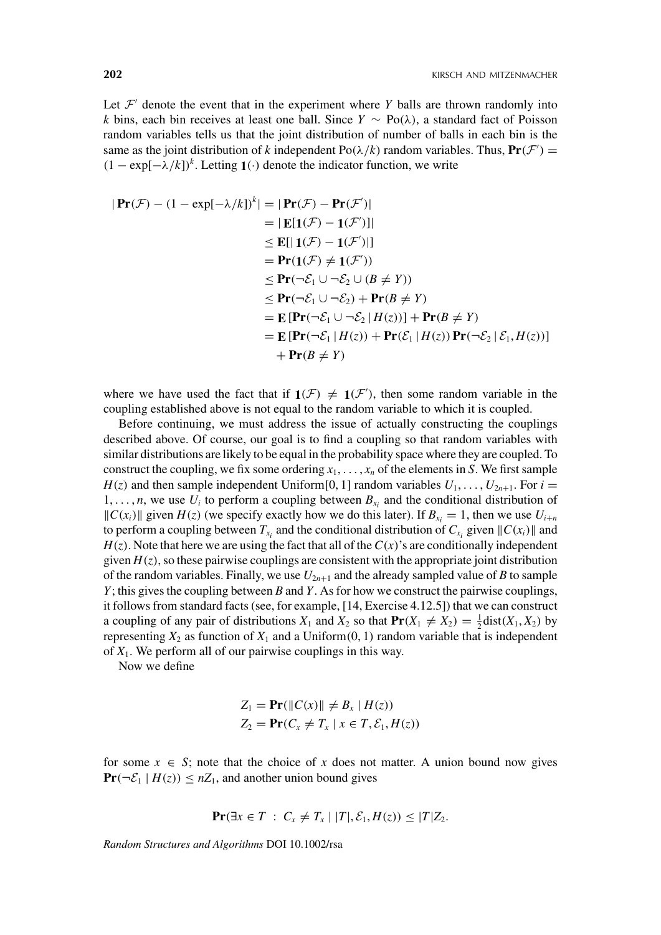Let  $\mathcal{F}'$  denote the event that in the experiment where *Y* balls are thrown randomly into *k* bins, each bin receives at least one ball. Since *Y* ∼ Po(λ), a standard fact of Poisson random variables tells us that the joint distribution of number of balls in each bin is the same as the joint distribution of *k* independent Po( $\lambda/k$ ) random variables. Thus,  $Pr(\mathcal{F}')$  =  $(1 - \exp[-\lambda/k])^k$ . Letting **1**(·) denote the indicator function, we write

$$
|\Pr(\mathcal{F}) - (1 - \exp[-\lambda/k])^{k}| = |\Pr(\mathcal{F}) - \Pr(\mathcal{F}')|
$$
  
\n
$$
= |\mathbf{E}[1(\mathcal{F}) - 1(\mathcal{F}')]|
$$
  
\n
$$
\leq \mathbf{E}[|1(\mathcal{F}) - 1(\mathcal{F}')|]
$$
  
\n
$$
= \Pr(1(\mathcal{F}) \neq 1(\mathcal{F}'))
$$
  
\n
$$
\leq \Pr(\neg \mathcal{E}_1 \cup \neg \mathcal{E}_2 \cup (B \neq Y))
$$
  
\n
$$
\leq \Pr(\neg \mathcal{E}_1 \cup \neg \mathcal{E}_2) + \Pr(B \neq Y)
$$
  
\n
$$
= \mathbf{E} [\Pr(\neg \mathcal{E}_1 \cup \neg \mathcal{E}_2 | H(z))] + \Pr(\mathcal{B} \neq Y)
$$
  
\n
$$
= \mathbf{E} [\Pr(\neg \mathcal{E}_1 | H(z)) + \Pr(\mathcal{E}_1 | H(z)) \Pr(\neg \mathcal{E}_2 | \mathcal{E}_1, H(z))]
$$
  
\n
$$
+ \Pr(B \neq Y)
$$

where we have used the fact that if  $\mathbf{1}(\mathcal{F}) \neq \mathbf{1}(\mathcal{F}')$ , then some random variable in the coupling established above is not equal to the random variable to which it is coupled.

Before continuing, we must address the issue of actually constructing the couplings described above. Of course, our goal is to find a coupling so that random variables with similar distributions are likely to be equal in the probability space where they are coupled. To construct the coupling, we fix some ordering  $x_1, \ldots, x_n$  of the elements in *S*. We first sample  $H(z)$  and then sample independent Uniform [0, 1] random variables  $U_1, \ldots, U_{2n+1}$ . For  $i =$  $1, \ldots, n$ , we use  $U_i$  to perform a coupling between  $B_{x_i}$  and the conditional distribution of  $||C(x_i)||$  given  $H(z)$  (we specify exactly how we do this later). If  $B_{x_i} = 1$ , then we use  $U_{i+n}$ to perform a coupling between  $T_{x_i}$  and the conditional distribution of  $C_{x_i}$  given  $||C(x_i)||$  and  $H(z)$ . Note that here we are using the fact that all of the  $C(x)$ 's are conditionally independent given  $H(z)$ , so these pairwise couplings are consistent with the appropriate joint distribution of the random variables. Finally, we use  $U_{2n+1}$  and the already sampled value of *B* to sample *Y*; this gives the coupling between *B* and *Y*. As for how we construct the pairwise couplings, it follows from standard facts (see, for example, [14, Exercise 4.12.5]) that we can construct a coupling of any pair of distributions  $X_1$  and  $X_2$  so that  $\mathbf{Pr}(X_1 \neq X_2) = \frac{1}{2} \text{dist}(X_1, X_2)$  by representing  $X_2$  as function of  $X_1$  and a Uniform $(0, 1)$  random variable that is independent of *X*1. We perform all of our pairwise couplings in this way.

Now we define

$$
Z_1 = \mathbf{Pr}(\|C(x)\| \neq B_x \mid H(z))
$$
  
\n
$$
Z_2 = \mathbf{Pr}(C_x \neq T_x \mid x \in T, \mathcal{E}_1, H(z))
$$

for some  $x \in S$ ; note that the choice of x does not matter. A union bound now gives  $\Pr(\neg \mathcal{E}_1 | H(z)) \leq nZ_1$ , and another union bound gives

$$
\mathbf{Pr}(\exists x \in T \,:\, C_x \neq T_x \mid |T|, \mathcal{E}_1, H(z)) \leq |T|Z_2.
$$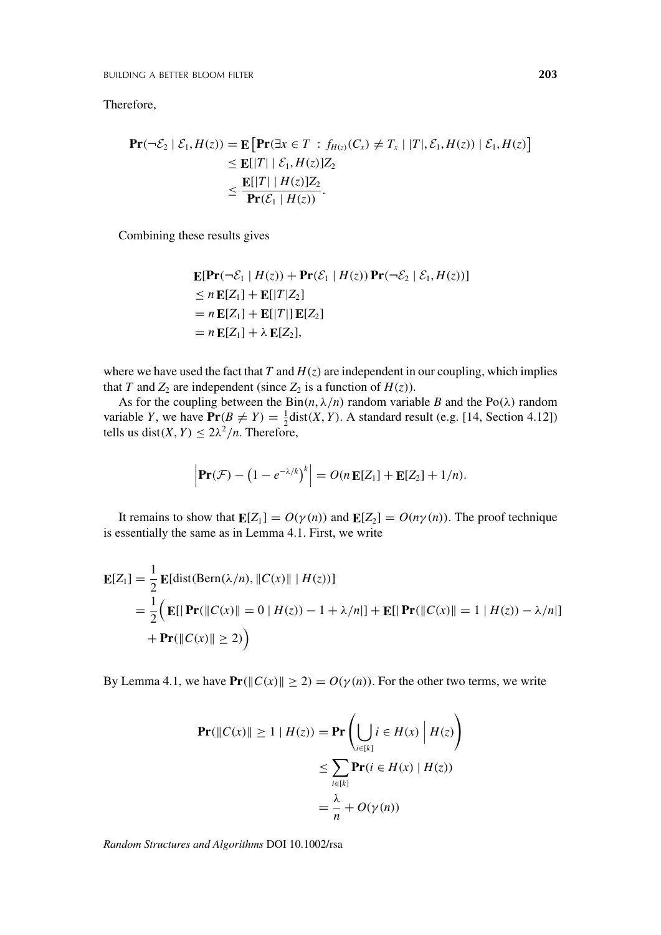Therefore,

$$
\begin{aligned} \mathbf{Pr}(\neg \mathcal{E}_2 \mid \mathcal{E}_1, H(z)) &= \mathbf{E} \left[ \mathbf{Pr}(\exists x \in T \; : \; f_{H(z)}(C_x) \neq T_x \mid |T|, \mathcal{E}_1, H(z)) \mid \mathcal{E}_1, H(z) \right] \\ &\leq \mathbf{E}[|T| \mid \mathcal{E}_1, H(z)] Z_2 \\ &\leq \frac{\mathbf{E}[|T| \mid H(z)] Z_2}{\mathbf{Pr}(\mathcal{E}_1 \mid H(z))}. \end{aligned}
$$

Combining these results gives

$$
\mathbf{E}[\mathbf{Pr}(\neg \mathcal{E}_1 | H(z)) + \mathbf{Pr}(\mathcal{E}_1 | H(z)) \mathbf{Pr}(\neg \mathcal{E}_2 | \mathcal{E}_1, H(z))]
$$
  
\n
$$
\leq n \mathbf{E}[Z_1] + \mathbf{E}[|T|Z_2]
$$
  
\n
$$
= n \mathbf{E}[Z_1] + \mathbf{E}[|T|] \mathbf{E}[Z_2]
$$
  
\n
$$
= n \mathbf{E}[Z_1] + \lambda \mathbf{E}[Z_2],
$$

where we have used the fact that  $T$  and  $H(z)$  are independent in our coupling, which implies that *T* and  $Z_2$  are independent (since  $Z_2$  is a function of  $H(z)$ ).

As for the coupling between the  $Bin(n, \lambda/n)$  random variable *B* and the Po( $\lambda$ ) random variable *Y*, we have  $\Pr(B \neq Y) = \frac{1}{2}$ dist(*X*, *Y*). A standard result (e.g. [14, Section 4.12]) tells us dist(*X*, *Y*)  $\leq 2\lambda^2/n$ . Therefore,

$$
\left|\mathbf{Pr}(\mathcal{F}) - \left(1 - e^{-\lambda/k}\right)^k\right| = O(n \mathbf{E}[Z_1] + \mathbf{E}[Z_2] + 1/n).
$$

It remains to show that  $\mathbf{E}[Z_1] = O(\gamma(n))$  and  $\mathbf{E}[Z_2] = O(n\gamma(n))$ . The proof technique is essentially the same as in Lemma 4.1. First, we write

$$
\mathbf{E}[Z_1] = \frac{1}{2} \mathbf{E}[\text{dist}(\text{Bern}(\lambda/n), \|C(x)\| \mid H(z))]
$$
  
=  $\frac{1}{2} (\mathbf{E}[|\mathbf{Pr}(\|C(x)\| = 0 \mid H(z)) - 1 + \lambda/n|] + \mathbf{E}[|\mathbf{Pr}(\|C(x)\| = 1 \mid H(z)) - \lambda/n|]$   
+  $\mathbf{Pr}(\|C(x)\| \ge 2)$ 

By Lemma 4.1, we have  $Pr(\Vert C(x) \Vert \ge 2) = O(\gamma(n))$ . For the other two terms, we write

$$
\begin{aligned} \mathbf{Pr}(\|C(x)\| \ge 1 \mid H(z)) &= \mathbf{Pr}\left(\bigcup_{i \in [k]} i \in H(x) \mid H(z)\right) \\ &\le \sum_{i \in [k]} \mathbf{Pr}(i \in H(x) \mid H(z)) \\ &= \frac{\lambda}{n} + O(\gamma(n)) \end{aligned}
$$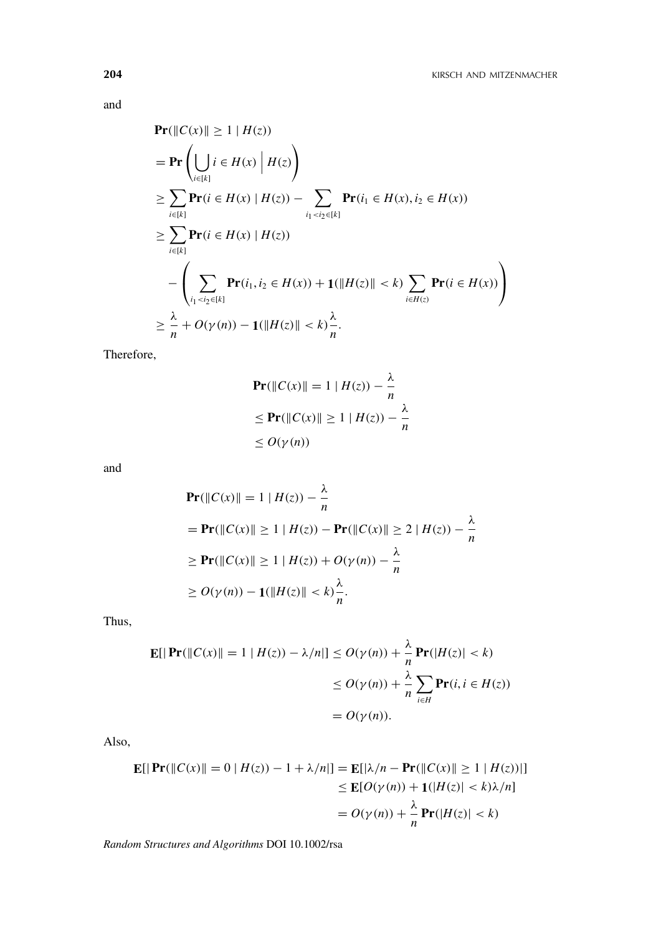and

$$
\begin{aligned}\n&\Pr(||C(x)|| \ge 1 | H(z)) \\
&= \Pr \left( \bigcup_{i \in [k]} i \in H(x) | H(z) \right) \\
&\ge \sum_{i \in [k]} \Pr(i \in H(x) | H(z)) - \sum_{i_1 < i_2 \in [k]} \Pr(i_1 \in H(x), i_2 \in H(x)) \\
&\ge \sum_{i \in [k]} \Pr(i \in H(x) | H(z)) \\
&- \left( \sum_{i_1 < i_2 \in [k]} \Pr(i_1, i_2 \in H(x)) + 1(||H(z)|| < k) \sum_{i \in H(z)} \Pr(i \in H(x)) \right) \\
&\ge \frac{\lambda}{n} + O(\gamma(n)) - 1(||H(z)|| < k) \frac{\lambda}{n}.\n\end{aligned}
$$

Therefore,

$$
\begin{aligned} \mathbf{Pr}(\|C(x)\| = 1 \mid H(z)) - \frac{\lambda}{n} \\ &\leq \mathbf{Pr}(\|C(x)\| \geq 1 \mid H(z)) - \frac{\lambda}{n} \\ &\leq O(\gamma(n)) \end{aligned}
$$

and

$$
\begin{aligned} &\Pr(\|C(x)\| = 1 \mid H(z)) - \frac{\lambda}{n} \\ &= \Pr(\|C(x)\| \ge 1 \mid H(z)) - \Pr(\|C(x)\| \ge 2 \mid H(z)) - \frac{\lambda}{n} \\ &\ge \Pr(\|C(x)\| \ge 1 \mid H(z)) + O(\gamma(n)) - \frac{\lambda}{n} \\ &\ge O(\gamma(n)) - 1(\|H(z)\| < k) - \frac{\lambda}{n} .\end{aligned}
$$

Thus,

$$
\begin{aligned} \mathbf{E}[|\mathbf{Pr}(\|C(x)\| = 1 \mid H(z)) - \lambda/n|] &\le O(\gamma(n)) + \frac{\lambda}{n} \mathbf{Pr}(|H(z)| < k) \\ &\le O(\gamma(n)) + \frac{\lambda}{n} \sum_{i \in H} \mathbf{Pr}(i, i \in H(z)) \\ &= O(\gamma(n)). \end{aligned}
$$

Also,

$$
\mathbf{E}[|\Pr(\|C(x)\| = 0 \mid H(z)) - 1 + \lambda/n|] = \mathbf{E}[\lambda/n - \Pr(\|C(x)\| \ge 1 \mid H(z))|]
$$
  
\n
$$
\le \mathbf{E}[O(\gamma(n)) + 1(|H(z)| < k)\lambda/n]
$$
  
\n
$$
= O(\gamma(n)) + \frac{\lambda}{n} \Pr(|H(z)| < k)
$$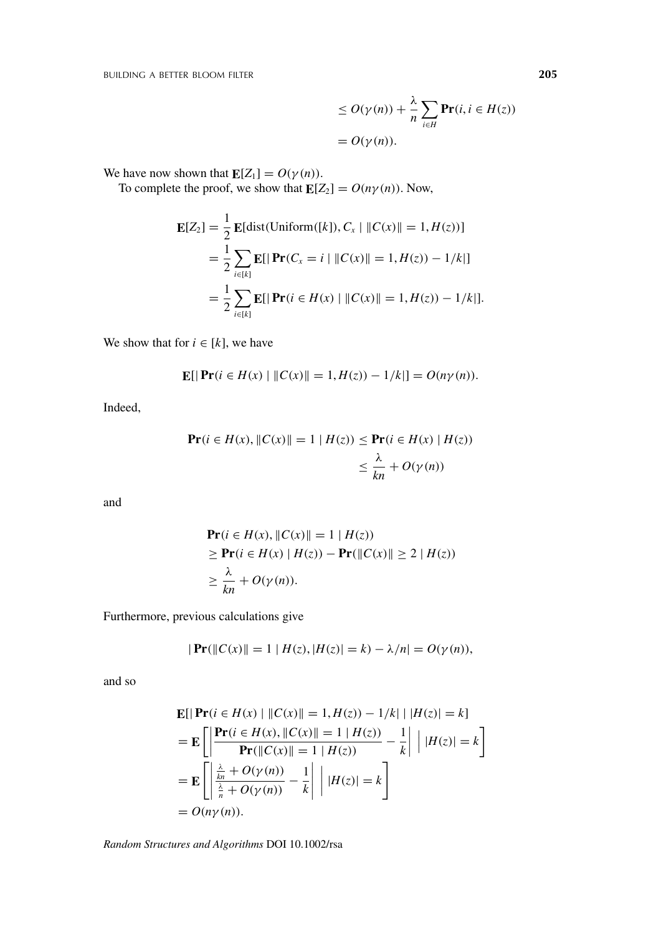BUILDING A BETTER BLOOM FILTER **205**

 $\leq O(\gamma(n))+\frac{\lambda}{n}$ *n*  $\sum$ *i*∈*H* **Pr**( $i, i \in H(z)$ )  $= O(\gamma(n)).$ 

We have now shown that  $\mathbf{E}[Z_1] = O(\gamma(n)).$ 

To complete the proof, we show that  $\mathbf{E}[Z_2] = O(n\gamma(n))$ . Now,

$$
\mathbf{E}[Z_2] = \frac{1}{2} \mathbf{E}[\text{dist}(\text{Uniform}([k]), C_x \mid \|C(x)\| = 1, H(z))]
$$
  
= 
$$
\frac{1}{2} \sum_{i \in [k]} \mathbf{E}[|\mathbf{Pr}(C_x = i \mid \|C(x)\| = 1, H(z)) - 1/k|]
$$
  
= 
$$
\frac{1}{2} \sum_{i \in [k]} \mathbf{E}[|\mathbf{Pr}(i \in H(x) \mid \|C(x)\| = 1, H(z)) - 1/k|].
$$

We show that for  $i \in [k]$ , we have

$$
\mathbf{E}[|\Pr(i \in H(x) | \|C(x)\| = 1, H(z)) - 1/k|] = O(n\gamma(n)).
$$

Indeed,

$$
\begin{aligned} \mathbf{Pr}(i \in H(x), \|C(x)\| = 1 \mid H(z)) &\leq \mathbf{Pr}(i \in H(x) \mid H(z)) \\ &\leq \frac{\lambda}{kn} + O(\gamma(n)) \end{aligned}
$$

and

$$
\begin{aligned} &\mathbf{Pr}(i \in H(x), \|C(x)\| = 1 \mid H(z)) \\ &\ge \mathbf{Pr}(i \in H(x) \mid H(z)) - \mathbf{Pr}(\|C(x)\| \ge 2 \mid H(z)) \\ &\ge \frac{\lambda}{kn} + O(\gamma(n)). \end{aligned}
$$

Furthermore, previous calculations give

$$
|\Pr(||C(x)|| = 1 | H(z), |H(z)| = k) - \lambda/n| = O(\gamma(n)),
$$

and so

$$
\begin{aligned} &\mathbf{E}[|\Pr(i \in H(x) | \, \|C(x)\| = 1, H(z)) - 1/k| \, |H(z)| = k] \\ &= \mathbf{E}\left[\left|\frac{\Pr(i \in H(x), \|C(x)\| = 1 | H(z))}{\Pr(\|C(x)\| = 1 | H(z))} - \frac{1}{k}\right| \, |H(z)| = k\right] \\ &= \mathbf{E}\left[\left|\frac{\frac{\lambda}{k n} + O(\gamma(n))}{\frac{\lambda}{n} + O(\gamma(n))} - \frac{1}{k}\right| \, |H(z)| = k\right] \\ &= O(n\gamma(n)). \end{aligned}
$$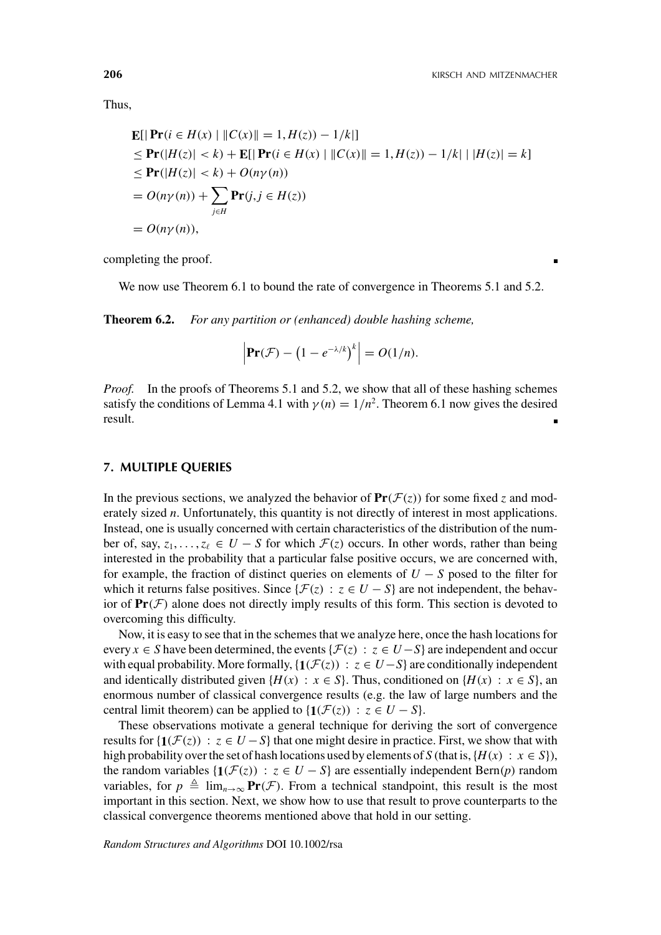Thus,

$$
\begin{aligned} &\mathbf{E}[|\Pr(i \in H(x) \mid \|C(x)\| = 1, H(z)) - 1/k]| \\ &\leq \Pr(|H(z)| < k) + \mathbf{E}[|\Pr(i \in H(x) \mid \|C(x)\| = 1, H(z)) - 1/k| \mid |H(z)| = k] \\ &\leq \Pr(|H(z)| < k) + O(n\gamma(n)) \\ &= O(n\gamma(n)) + \sum_{j \in H} \Pr(j, j \in H(z)) \\ &= O(n\gamma(n)), \end{aligned}
$$

completing the proof.

We now use Theorem 6.1 to bound the rate of convergence in Theorems 5.1 and 5.2.

**Theorem 6.2.** *For any partition or (enhanced) double hashing scheme,*

$$
\left|\mathbf{Pr}(\mathcal{F}) - \left(1 - e^{-\lambda/k}\right)^k\right| = O(1/n).
$$

*Proof.* In the proofs of Theorems 5.1 and 5.2, we show that all of these hashing schemes satisfy the conditions of Lemma 4.1 with  $\gamma(n) = 1/n^2$ . Theorem 6.1 now gives the desired result.

# **7. MULTIPLE QUERIES**

In the previous sections, we analyzed the behavior of  $\text{Pr}(\mathcal{F}(z))$  for some fixed *z* and moderately sized *n*. Unfortunately, this quantity is not directly of interest in most applications. Instead, one is usually concerned with certain characteristics of the distribution of the number of, say,  $z_1, \ldots, z_\ell \in U - S$  for which  $\mathcal{F}(z)$  occurs. In other words, rather than being interested in the probability that a particular false positive occurs, we are concerned with, for example, the fraction of distinct queries on elements of *U* − *S* posed to the filter for which it returns false positives. Since  $\{\mathcal{F}(z) : z \in U - S\}$  are not independent, the behavior of  $Pr(\mathcal{F})$  alone does not directly imply results of this form. This section is devoted to overcoming this difficulty.

Now, it is easy to see that in the schemes that we analyze here, once the hash locations for every  $x \in S$  have been determined, the events { $\mathcal{F}(z) : z \in U - S$ } are independent and occur with equal probability. More formally,  $\{1(\mathcal{F}(z)) : z \in U - S\}$  are conditionally independent and identically distributed given  $\{H(x) : x \in S\}$ . Thus, conditioned on  $\{H(x) : x \in S\}$ , an enormous number of classical convergence results (e.g. the law of large numbers and the central limit theorem) can be applied to  $\{ \mathbf{1}(\mathcal{F}(z)) : z \in U - S \}.$ 

These observations motivate a general technique for deriving the sort of convergence results for { $\mathbf{1}(\mathcal{F}(z))$  :  $z \in U - S$ } that one might desire in practice. First, we show that with high probability over the set of hash locations used by elements of *S* (that is,  $\{H(x) : x \in S\}$ ), the random variables  $\{1(\mathcal{F}(z)) : z \in U - S\}$  are essentially independent Bern(*p*) random variables, for  $p \triangleq \lim_{n\to\infty} \mathbf{Pr}(\mathcal{F})$ . From a technical standpoint, this result is the most important in this section. Next, we show how to use that result to prove counterparts to the classical convergence theorems mentioned above that hold in our setting.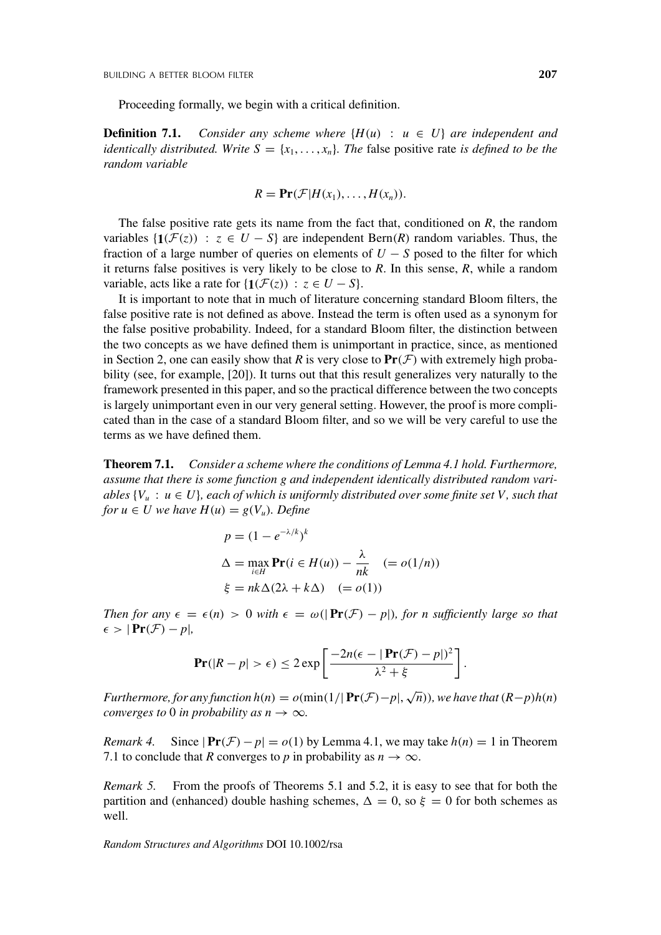Proceeding formally, we begin with a critical definition.

**Definition 7.1.** *Consider any scheme where*  $\{H(u) : u \in U\}$  *are independent and identically distributed. Write*  $S = \{x_1, \ldots, x_n\}$ *. The false positive rate is defined to be the random variable*

$$
R=\mathbf{Pr}(\mathcal{F}|H(x_1),\ldots,H(x_n)).
$$

The false positive rate gets its name from the fact that, conditioned on *R*, the random variables  $\{1(\mathcal{F}(z)) : z \in U - S\}$  are independent Bern(*R*) random variables. Thus, the fraction of a large number of queries on elements of  $U - S$  posed to the filter for which it returns false positives is very likely to be close to *R*. In this sense, *R*, while a random variable, acts like a rate for  $\{1(\mathcal{F}(z)) : z \in U - S\}.$ 

It is important to note that in much of literature concerning standard Bloom filters, the false positive rate is not defined as above. Instead the term is often used as a synonym for the false positive probability. Indeed, for a standard Bloom filter, the distinction between the two concepts as we have defined them is unimportant in practice, since, as mentioned in Section 2, one can easily show that *R* is very close to  $Pr(\mathcal{F})$  with extremely high probability (see, for example, [20]). It turns out that this result generalizes very naturally to the framework presented in this paper, and so the practical difference between the two concepts is largely unimportant even in our very general setting. However, the proof is more complicated than in the case of a standard Bloom filter, and so we will be very careful to use the terms as we have defined them.

**Theorem 7.1.** *Consider a scheme where the conditions of Lemma 4.1 hold. Furthermore, assume that there is some function g and independent identically distributed random variables*  $\{V_u : u \in U\}$ *, each of which is uniformly distributed over some finite set V, such that for*  $u \in U$  *we have*  $H(u) = g(V_u)$ *. Define* 

$$
p = (1 - e^{-\lambda/k})^k
$$
  
\n
$$
\Delta = \max_{i \in H} \mathbf{Pr}(i \in H(u)) - \frac{\lambda}{nk} \quad (= o(1/n))
$$
  
\n
$$
\xi = nk\Delta(2\lambda + k\Delta) \quad (= o(1))
$$

*k*

*Then for any*  $\epsilon = \epsilon(n) > 0$  *with*  $\epsilon = \omega(|\Pr(\mathcal{F}) - p|)$ *, for n sufficiently large so that*  $\epsilon > |\Pr(\mathcal{F}) - p|,$ 

$$
\mathbf{Pr}(|R - p| > \epsilon) \le 2 \exp\left[\frac{-2n(\epsilon - |\mathbf{Pr}(\mathcal{F}) - p|)^2}{\lambda^2 + \xi}\right]
$$

.

*Furthermore, for any function*  $h(n) = o(\min(1/|\Pr(\mathcal{F}) - p|, \sqrt{n}))$ *, we have that*  $(R-p)h(n)$ *converges to* 0 *in probability as*  $n \rightarrow \infty$ *.* 

*Remark 4.* Since  $|\Pr(\mathcal{F}) - p| = o(1)$  by Lemma 4.1, we may take  $h(n) = 1$  in Theorem 7.1 to conclude that *R* converges to *p* in probability as  $n \to \infty$ .

*Remark 5.* From the proofs of Theorems 5.1 and 5.2, it is easy to see that for both the partition and (enhanced) double hashing schemes,  $\Delta = 0$ , so  $\xi = 0$  for both schemes as well.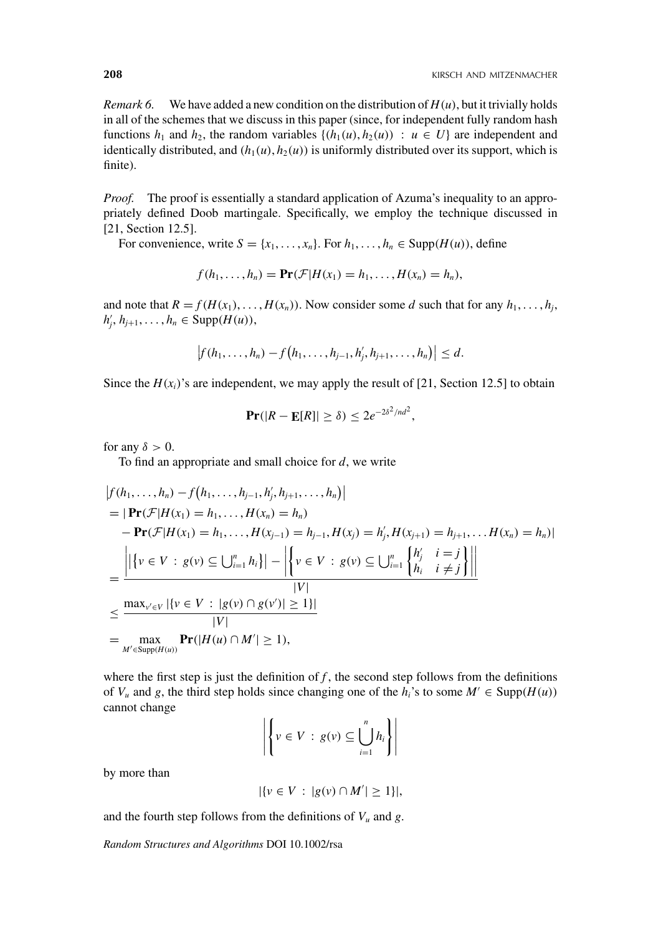*Remark 6.* We have added a new condition on the distribution of  $H(u)$ , but it trivially holds in all of the schemes that we discuss in this paper (since, for independent fully random hash functions  $h_1$  and  $h_2$ , the random variables  $\{(h_1(u), h_2(u)) : u \in U\}$  are independent and identically distributed, and  $(h_1(u), h_2(u))$  is uniformly distributed over its support, which is finite).

*Proof.* The proof is essentially a standard application of Azuma's inequality to an appropriately defined Doob martingale. Specifically, we employ the technique discussed in [21, Section 12.5].

For convenience, write  $S = \{x_1, \ldots, x_n\}$ . For  $h_1, \ldots, h_n \in \text{Supp}(H(u))$ , define

$$
f(h_1,\ldots,h_n)=\Pr(\mathcal{F}|H(x_1)=h_1,\ldots,H(x_n)=h_n),
$$

and note that  $R = f(H(x_1), \ldots, H(x_n))$ . Now consider some *d* such that for any  $h_1, \ldots, h_j$ ,  $h'_{j}, h_{j+1}, \ldots, h_{n} \in \text{Supp}(H(u)),$ 

$$
|f(h_1,\ldots,h_n)-f(h_1,\ldots,h_{j-1},h'_j,h_{j+1},\ldots,h_n)|\leq d.
$$

Since the  $H(x_i)$ 's are independent, we may apply the result of [21, Section 12.5] to obtain

$$
\Pr(|R - \mathbf{E}[R]| \ge \delta) \le 2e^{-2\delta^2/nd^2},
$$

for any  $\delta > 0$ .

To find an appropriate and small choice for *d*, we write

$$
|f(h_1, ..., h_n) - f(h_1, ..., h_{j-1}, h'_j, h_{j+1}, ..., h_n)|
$$
  
\n
$$
= |\mathbf{Pr}(\mathcal{F}|H(x_1) = h_1, ..., H(x_n) = h_n)
$$
  
\n
$$
- \mathbf{Pr}(\mathcal{F}|H(x_1) = h_1, ..., H(x_{j-1}) = h_{j-1}, H(x_j) = h'_j, H(x_{j+1}) = h_{j+1}, ..., H(x_n) = h_n)|
$$
  
\n
$$
= \frac{||\{v \in V : g(v) \subseteq \bigcup_{i=1}^n h_i\}| - \left|\{v \in V : g(v) \subseteq \bigcup_{i=1}^n \frac{h'_j}{h_i} \quad i \neq j\}\right|\right|}{|V|}
$$
  
\n
$$
\leq \frac{\max_{v' \in V} |\{v \in V : |g(v) \cap g(v')| \geq 1\}|}{|V|}
$$
  
\n
$$
= \frac{\max_{M' \in \text{Supp}(H(u))} \Pr(|H(u) \cap M'| \geq 1)}{|V|},
$$

where the first step is just the definition of  $f$ , the second step follows from the definitions of  $V_u$  and *g*, the third step holds since changing one of the  $h_i$ 's to some  $M' \in \text{Supp}(H(u))$ cannot change

$$
\left| \left\{ v \in V : g(v) \subseteq \bigcup_{i=1}^{n} h_i \right\} \right|
$$

by more than

$$
|\{v \in V : |g(v) \cap M'| \ge 1\}|,
$$

and the fourth step follows from the definitions of  $V_u$  and  $g$ .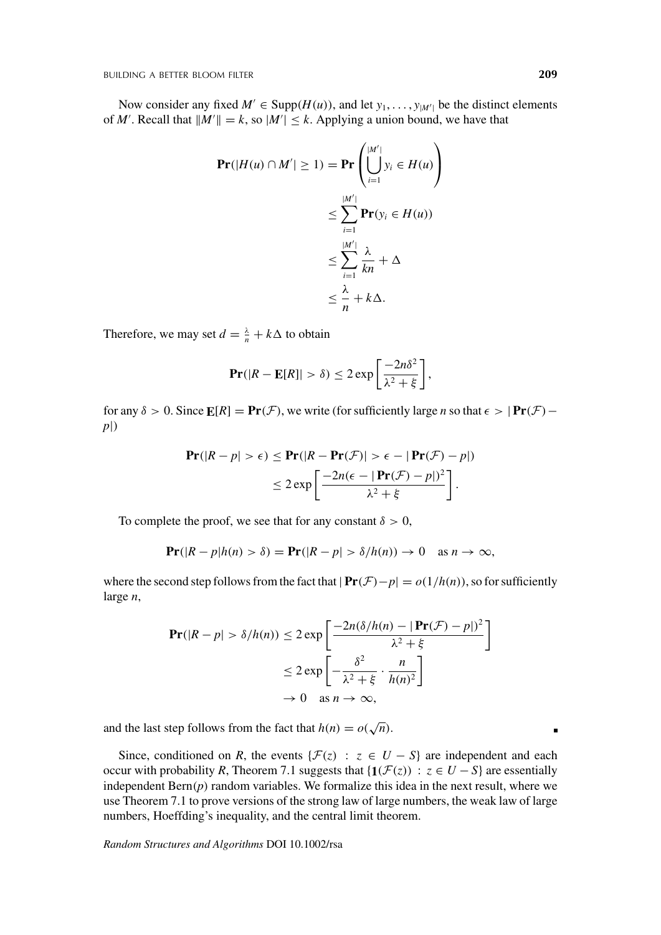Now consider any fixed  $M' \in \text{Supp}(H(u))$ , and let  $y_1, \ldots, y_{|M'|}$  be the distinct elements of *M'*. Recall that  $||M'|| = k$ , so  $|M'| \le k$ . Applying a union bound, we have that

$$
\begin{aligned} \mathbf{Pr}(|H(u) \cap M'| \ge 1) &= \mathbf{Pr}\left(\bigcup_{i=1}^{|M'|} y_i \in H(u)\right) \\ &\le \sum_{i=1}^{|M'|} \mathbf{Pr}(y_i \in H(u)) \\ &\le \sum_{i=1}^{|M'|} \frac{\lambda}{kn} + \Delta \\ &\le \frac{\lambda}{n} + k\Delta. \end{aligned}
$$

Therefore, we may set  $d = \frac{\lambda}{n} + k\Delta$  to obtain

$$
\mathbf{Pr}(|R - \mathbf{E}[R]| > \delta) \leq 2 \exp\left[\frac{-2n\delta^2}{\lambda^2 + \xi}\right],
$$

for any  $\delta > 0$ . Since  $\mathbf{E}[R] = \mathbf{Pr}(\mathcal{F})$ , we write (for sufficiently large *n* so that  $\epsilon > |\mathbf{Pr}(\mathcal{F}) - \mathbf{Pr}(\mathcal{F})|$ *p*|)

$$
\mathbf{Pr}(|R - p| > \epsilon) \leq \mathbf{Pr}(|R - \mathbf{Pr}(\mathcal{F})| > \epsilon - |\mathbf{Pr}(\mathcal{F}) - p|)
$$
  
\n
$$
\leq 2 \exp \left[ \frac{-2n(\epsilon - |\mathbf{Pr}(\mathcal{F}) - p|)^2}{\lambda^2 + \xi} \right].
$$

To complete the proof, we see that for any constant  $\delta > 0$ ,

$$
\Pr(|R - p|h(n) > \delta) = \Pr(|R - p| > \delta/h(n)) \to 0 \quad \text{as } n \to \infty,
$$

where the second step follows from the fact that  $|\Pr(\mathcal{F}) - p| = o(1/h(n))$ , so for sufficiently large *n*,

$$
\mathbf{Pr}(|R - p| > \delta/h(n)) \le 2 \exp\left[\frac{-2n(\delta/h(n) - |\mathbf{Pr}(\mathcal{F}) - p|)^2}{\lambda^2 + \xi}\right]
$$

$$
\le 2 \exp\left[-\frac{\delta^2}{\lambda^2 + \xi} \cdot \frac{n}{h(n)^2}\right]
$$

$$
\to 0 \quad \text{as } n \to \infty,
$$

and the last step follows from the fact that  $h(n) = o(\sqrt{n})$ .

Since, conditioned on *R*, the events { $\mathcal{F}(z)$  :  $z \in U - S$ } are independent and each occur with probability *R*, Theorem 7.1 suggests that { $\mathbf{1}(\mathcal{F}(z))$  :  $z \in U - S$ } are essentially independent  $Bern(p)$  random variables. We formalize this idea in the next result, where we use Theorem 7.1 to prove versions of the strong law of large numbers, the weak law of large numbers, Hoeffding's inequality, and the central limit theorem.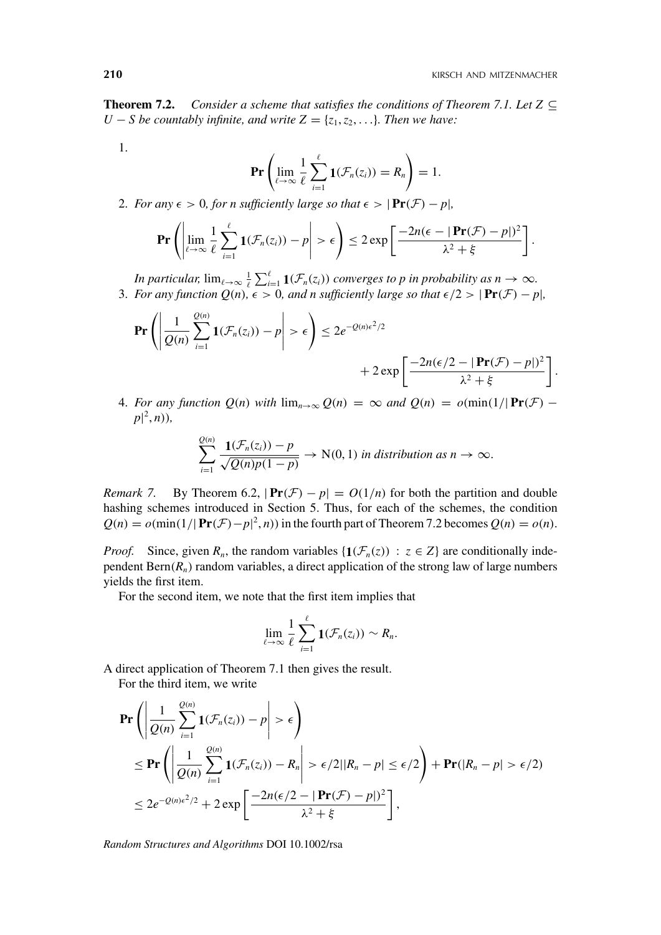**Theorem 7.2.** *Consider a scheme that satisfies the conditions of Theorem 7.1. Let*  $Z \subseteq$ *U* − *S be countably infinite, and write*  $Z = \{z_1, z_2, \ldots\}$ *. Then we have:* 

1.

$$
\Pr\left(\lim_{\ell\to\infty}\frac{1}{\ell}\sum_{i=1}^{\ell}\mathbf{1}(\mathcal{F}_n(z_i))=R_n\right)=1.
$$

2. For any  $\epsilon > 0$ , for *n* sufficiently large so that  $\epsilon > |\mathbf{Pr}(\mathcal{F}) - p|$ ,

$$
\mathbf{Pr}\left(\left|\lim_{\ell\to\infty}\frac{1}{\ell}\sum_{i=1}^{\ell}\mathbf{1}(\mathcal{F}_n(z_i)) - p\right| > \epsilon\right) \leq 2\exp\left[\frac{-2n(\epsilon - |\mathbf{Pr}(\mathcal{F}) - p|)^2}{\lambda^2 + \xi}\right].
$$

*In particular,*  $\lim_{\ell \to \infty} \frac{1}{\ell} \sum_{i=1}^{\ell} \mathbf{1}(\mathcal{F}_n(z_i))$  *converges to p in probability as n*  $\to \infty$ *.* 3. For any function  $Q(n)$ ,  $\epsilon > 0$ , and n sufficiently large so that  $\epsilon/2 > |\Pr(\mathcal{F}) - p|$ ,

$$
\mathbf{Pr}\left(\left|\frac{1}{Q(n)}\sum_{i=1}^{Q(n)}\mathbf{1}(\mathcal{F}_n(z_i)) - p\right| > \epsilon\right) \leq 2e^{-Q(n)\epsilon^2/2} + 2\exp\left[\frac{-2n(\epsilon/2 - |\mathbf{Pr}(\mathcal{F}) - p|)^2}{\lambda^2 + \xi}\right].
$$

4. For any function  $Q(n)$  with  $\lim_{n\to\infty} Q(n) = \infty$  and  $Q(n) = o(\min(1/|\Pr(\mathcal{F}) - \mathcal{F})|$  $p$ <sup>[2</sup>, *n*)),

$$
\sum_{i=1}^{Q(n)} \frac{\mathbf{1}(\mathcal{F}_n(z_i)) - p}{\sqrt{Q(n)p(1-p)}} \to N(0, 1) \text{ in distribution as } n \to \infty.
$$

*Remark* 7. By Theorem 6.2,  $|\mathbf{Pr}(\mathcal{F}) - p| = O(1/n)$  for both the partition and double hashing schemes introduced in Section 5. Thus, for each of the schemes, the condition  $Q(n) = o(\min(1/|\Pr(\mathcal{F}) - p|^2, n))$  in the fourth part of Theorem 7.2 becomes  $Q(n) = o(n)$ .

*Proof.* Since, given  $R_n$ , the random variables  $\{1(\mathcal{F}_n(z)) : z \in Z\}$  are conditionally independent  $\text{Bern}(R_n)$  random variables, a direct application of the strong law of large numbers yields the first item.

For the second item, we note that the first item implies that

$$
\lim_{\ell\to\infty}\frac{1}{\ell}\sum_{i=1}^{\ell}\mathbf{1}(\mathcal{F}_n(z_i))\sim R_n.
$$

A direct application of Theorem 7.1 then gives the result. For the third item, we write

$$
\begin{split} &\Pr\left(\left|\frac{1}{Q(n)}\sum_{i=1}^{Q(n)}\mathbf{1}(\mathcal{F}_n(z_i)) - p\right| > \epsilon\right) \\ &\leq \Pr\left(\left|\frac{1}{Q(n)}\sum_{i=1}^{Q(n)}\mathbf{1}(\mathcal{F}_n(z_i)) - R_n\right| > \epsilon/2||R_n - p| \leq \epsilon/2\right) + \Pr(|R_n - p| > \epsilon/2) \\ &\leq 2e^{-Q(n)\epsilon^2/2} + 2\exp\left[\frac{-2n(\epsilon/2 - |\Pr(\mathcal{F}) - p|)^2}{\lambda^2 + \xi}\right], \end{split}
$$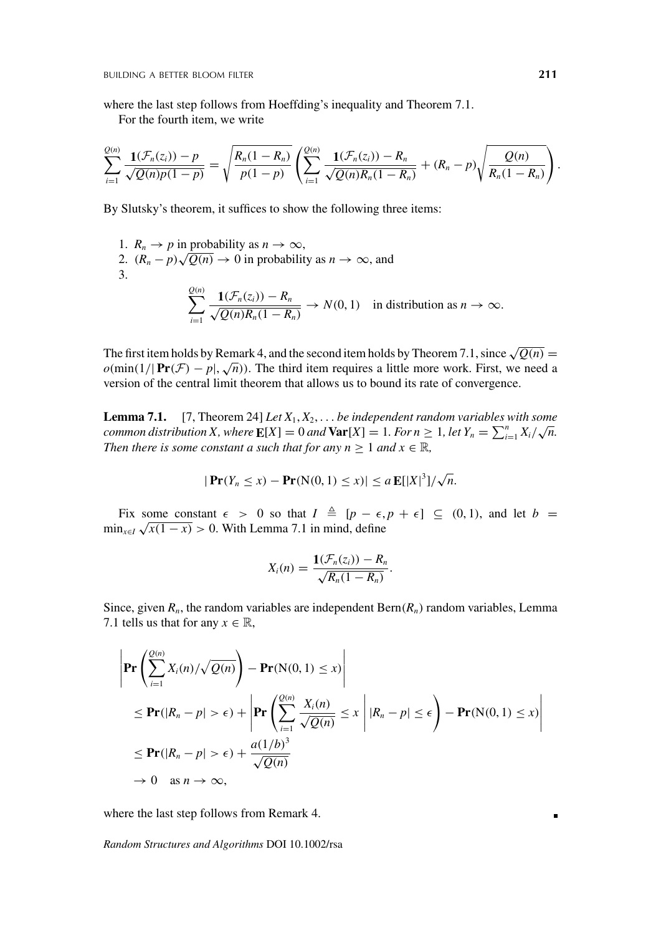where the last step follows from Hoeffding's inequality and Theorem 7.1.

For the fourth item, we write

$$
\sum_{i=1}^{Q(n)} \frac{\mathbf{1}(\mathcal{F}_n(z_i)) - p}{\sqrt{Q(n)p(1-p)}} = \sqrt{\frac{R_n(1-R_n)}{p(1-p)}} \left( \sum_{i=1}^{Q(n)} \frac{\mathbf{1}(\mathcal{F}_n(z_i)) - R_n}{\sqrt{Q(n)R_n(1-R_n)}} + (R_n-p)\sqrt{\frac{Q(n)}{R_n(1-R_n)}} \right).
$$

By Slutsky's theorem, it suffices to show the following three items:

1. 
$$
R_n \to p
$$
 in probability as  $n \to \infty$ ,  
\n2.  $(R_n - p)\sqrt{Q(n)} \to 0$  in probability as  $n \to \infty$ , and  
\n3.  
\n
$$
\sum_{i=1}^{Q(n)} \frac{\mathbf{1}(\mathcal{F}_n(z_i)) - R_n}{\sqrt{Q(n)R_n(1 - R_n)}} \to N(0, 1)
$$
 in distribution as  $n \to \infty$ .

The first item holds by Remark 4, and the second item holds by Theorem 7.1, since  $\sqrt{Q(n)} =$  $o(\min(1/|\Pr(\mathcal{F}) - p|, \sqrt{n}))$ . The third item requires a little more work. First, we need a version of the central limit theorem that allows us to bound its rate of convergence.

**Lemma 7.1.** [7, Theorem 24] *Let X*1, *X*2, ... *be independent random variables with some common distribution X, where*  $E[X] = 0$  *and*  $Var[X] = 1$ *. For*  $n \ge 1$ *, let*  $Y_n = \sum_{i=1}^n X_i / \sqrt{n}$ *. Then there is some constant a such that for any n*  $\geq 1$  *and*  $x \in \mathbb{R}$ *,* 

$$
|\Pr(Y_n \le x) - \Pr(N(0, 1) \le x)| \le a \mathbb{E}[|X|^3]/\sqrt{n}.
$$

Fix some constant  $\epsilon > 0$  so that  $I \triangleq [p - \epsilon, p + \epsilon] \subseteq (0, 1)$ , and let  $b =$  $\min_{x \in I} \sqrt{x(1-x)} > 0$ . With Lemma 7.1 in mind, define

$$
X_i(n) = \frac{\mathbf{1}(\mathcal{F}_n(z_i)) - R_n}{\sqrt{R_n(1 - R_n)}}.
$$

Since, given  $R_n$ , the random variables are independent  $\text{Bern}(R_n)$  random variables, Lemma 7.1 tells us that for any  $x \in \mathbb{R}$ ,

$$
\left| \Pr \left( \sum_{i=1}^{Q(n)} X_i(n) / \sqrt{Q(n)} \right) - \Pr(N(0, 1) \le x) \right|
$$
  
\n
$$
\le \Pr(|R_n - p| > \epsilon) + \left| \Pr \left( \sum_{i=1}^{Q(n)} \frac{X_i(n)}{\sqrt{Q(n)}} \le x \right| |R_n - p| \le \epsilon \right) - \Pr(N(0, 1) \le x) \right|
$$
  
\n
$$
\le \Pr(|R_n - p| > \epsilon) + \frac{a(1/b)^3}{\sqrt{Q(n)}}
$$
  
\n
$$
\to 0 \text{ as } n \to \infty,
$$

where the last step follows from Remark 4.

*Random Structures and Algorithms* DOI 10.1002/rsa

×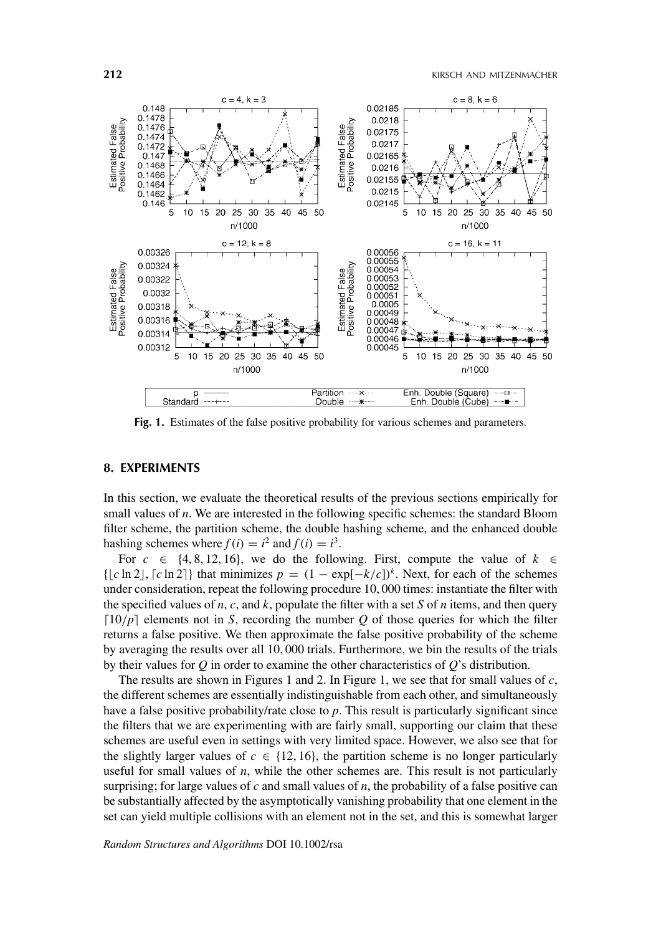

Fig. 1. Estimates of the false positive probability for various schemes and parameters.

# **8. EXPERIMENTS**

In this section, we evaluate the theoretical results of the previous sections empirically for small values of *n*. We are interested in the following specific schemes: the standard Bloom filter scheme, the partition scheme, the double hashing scheme, and the enhanced double hashing schemes where  $f(i) = i^2$  and  $f(i) = i^3$ .

For  $c \in \{4, 8, 12, 16\}$ , we do the following. First, compute the value of  $k \in$  $\{|c \ln 2|, [c \ln 2]\}\$  that minimizes  $p = (1 - \exp[-k/c])^k$ . Next, for each of the schemes under consideration, repeat the following procedure 10, 000 times: instantiate the filter with the specified values of  $n$ ,  $c$ , and  $k$ , populate the filter with a set  $S$  of  $n$  items, and then query  $[10/p]$  elements not in *S*, recording the number *Q* of those queries for which the filter returns a false positive. We then approximate the false positive probability of the scheme by averaging the results over all 10, 000 trials. Furthermore, we bin the results of the trials by their values for *Q* in order to examine the other characteristics of *Q*'s distribution.

The results are shown in Figures 1 and 2. In Figure 1, we see that for small values of *c*, the different schemes are essentially indistinguishable from each other, and simultaneously have a false positive probability/rate close to *p*. This result is particularly significant since the filters that we are experimenting with are fairly small, supporting our claim that these schemes are useful even in settings with very limited space. However, we also see that for the slightly larger values of  $c \in \{12, 16\}$ , the partition scheme is no longer particularly useful for small values of *n*, while the other schemes are. This result is not particularly surprising; for large values of *c* and small values of *n*, the probability of a false positive can be substantially affected by the asymptotically vanishing probability that one element in the set can yield multiple collisions with an element not in the set, and this is somewhat larger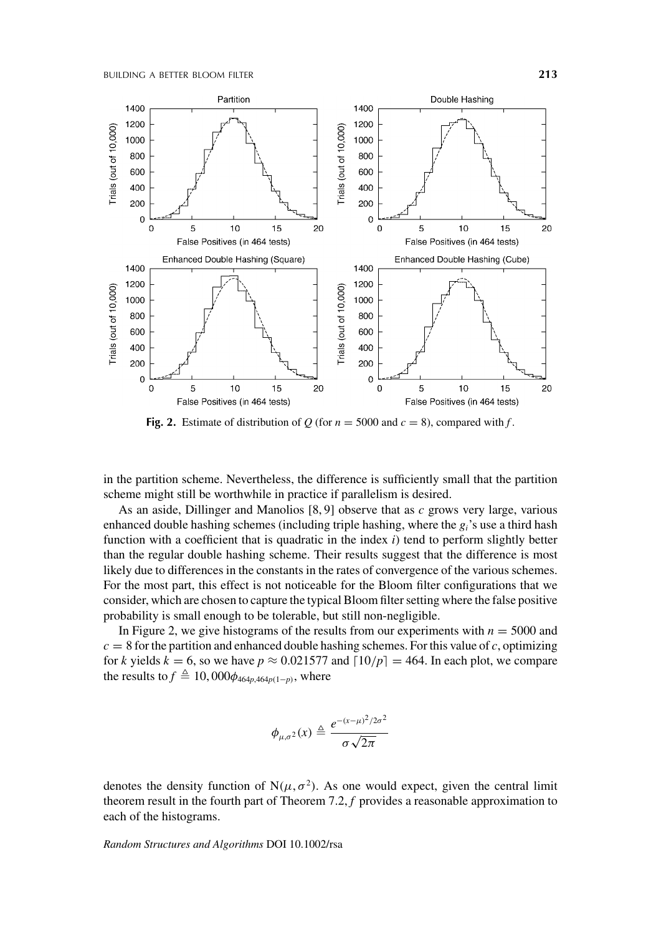

**Fig. 2.** Estimate of distribution of *Q* (for  $n = 5000$  and  $c = 8$ ), compared with *f*.

in the partition scheme. Nevertheless, the difference is sufficiently small that the partition scheme might still be worthwhile in practice if parallelism is desired.

As an aside, Dillinger and Manolios [8, 9] observe that as *c* grows very large, various enhanced double hashing schemes (including triple hashing, where the *gi*'s use a third hash function with a coefficient that is quadratic in the index *i*) tend to perform slightly better than the regular double hashing scheme. Their results suggest that the difference is most likely due to differences in the constants in the rates of convergence of the various schemes. For the most part, this effect is not noticeable for the Bloom filter configurations that we consider, which are chosen to capture the typical Bloom filter setting where the false positive probability is small enough to be tolerable, but still non-negligible.

In Figure 2, we give histograms of the results from our experiments with  $n = 5000$  and  $c = 8$  for the partition and enhanced double hashing schemes. For this value of *c*, optimizing for *k* yields  $k = 6$ , so we have  $p \approx 0.021577$  and  $\lceil 10/p \rceil = 464$ . In each plot, we compare the results to  $f \triangleq 10,000\phi_{464p,464p(1-p)}$ , where

$$
\phi_{\mu,\sigma^2}(x) \triangleq \frac{e^{-(x-\mu)^2/2\sigma^2}}{\sigma\sqrt{2\pi}}
$$

denotes the density function of  $N(\mu, \sigma^2)$ . As one would expect, given the central limit theorem result in the fourth part of Theorem 7.2, *f* provides a reasonable approximation to each of the histograms.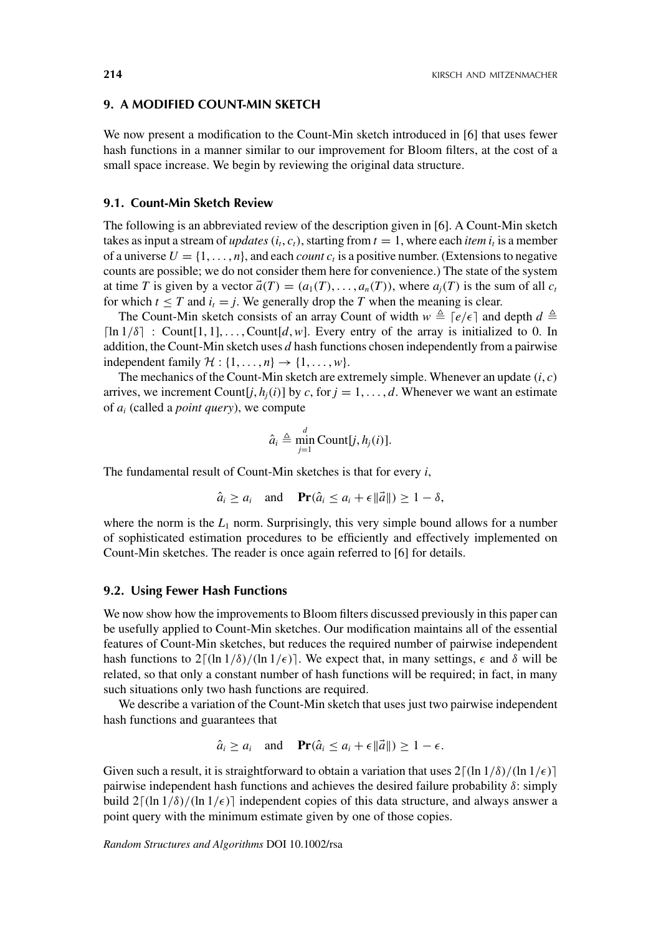## **9. A MODIFIED COUNT-MIN SKETCH**

We now present a modification to the Count-Min sketch introduced in [6] that uses fewer hash functions in a manner similar to our improvement for Bloom filters, at the cost of a small space increase. We begin by reviewing the original data structure.

## **9.1. Count-Min Sketch Review**

The following is an abbreviated review of the description given in [6]. A Count-Min sketch takes as input a stream of *updates*  $(i_t, c_t)$ , starting from  $t = 1$ , where each *item*  $i_t$  is a member of a universe  $U = \{1, \ldots, n\}$ , and each *count c<sub>t</sub>* is a positive number. (Extensions to negative counts are possible; we do not consider them here for convenience.) The state of the system at time *T* is given by a vector  $\vec{a}(T) = (a_1(T), \ldots, a_n(T))$ , where  $a_i(T)$  is the sum of all  $c_t$ for which  $t \leq T$  and  $i_t = j$ . We generally drop the *T* when the meaning is clear.

The Count-Min sketch consists of an array Count of width  $w \triangleq [e/\epsilon]$  and depth  $d \triangleq$ [ $\ln 1/\delta$ ] : Count[1, 1], ..., Count[d, w]. Every entry of the array is initialized to 0. In addition, the Count-Min sketch uses *d* hash functions chosen independently from a pairwise independent family  $\mathcal{H} : \{1, \ldots, n\} \rightarrow \{1, \ldots, w\}.$ 

The mechanics of the Count-Min sketch are extremely simple. Whenever an update  $(i, c)$ arrives, we increment Count $[j, h_i(i)]$  by *c*, for  $j = 1, \ldots, d$ . Whenever we want an estimate of *ai* (called a *point query*), we compute

$$
\hat{a}_i \triangleq \min_{j=1}^d \text{Count}[j, h_j(i)].
$$

The fundamental result of Count-Min sketches is that for every *i*,

$$
\hat{a}_i \ge a_i
$$
 and  $\mathbf{Pr}(\hat{a}_i \le a_i + \epsilon ||\vec{a}||) \ge 1 - \delta$ ,

where the norm is the  $L_1$  norm. Surprisingly, this very simple bound allows for a number of sophisticated estimation procedures to be efficiently and effectively implemented on Count-Min sketches. The reader is once again referred to [6] for details.

## **9.2. Using Fewer Hash Functions**

We now show how the improvements to Bloom filters discussed previously in this paper can be usefully applied to Count-Min sketches. Our modification maintains all of the essential features of Count-Min sketches, but reduces the required number of pairwise independent hash functions to  $2\lceil (\ln 1/\delta)/(\ln 1/\epsilon) \rceil$ . We expect that, in many settings,  $\epsilon$  and  $\delta$  will be related, so that only a constant number of hash functions will be required; in fact, in many such situations only two hash functions are required.

We describe a variation of the Count-Min sketch that uses just two pairwise independent hash functions and guarantees that

$$
\hat{a}_i \ge a_i
$$
 and  $\mathbf{Pr}(\hat{a}_i \le a_i + \epsilon ||\vec{a}||) \ge 1 - \epsilon$ .

Given such a result, it is straightforward to obtain a variation that uses  $2\lceil (\ln 1/\delta)/(\ln 1/\epsilon) \rceil$ pairwise independent hash functions and achieves the desired failure probability  $\delta$ : simply build  $2\lceil (\ln 1/\delta)/(\ln 1/\epsilon) \rceil$  independent copies of this data structure, and always answer a point query with the minimum estimate given by one of those copies.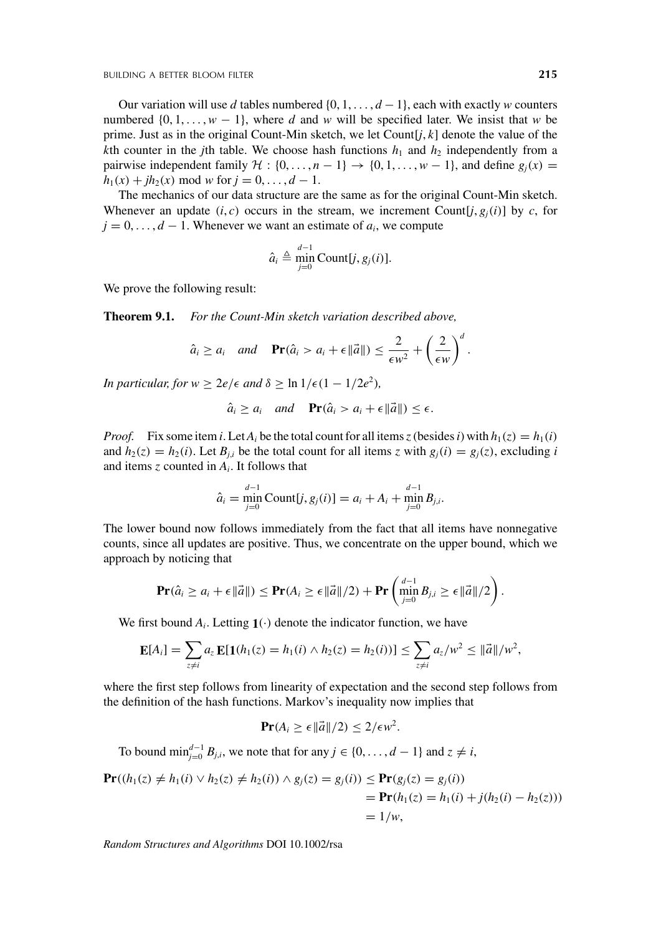Our variation will use *d* tables numbered {0, 1, ... , *d* − 1}, each with exactly *w* counters numbered  $\{0, 1, \ldots, w - 1\}$ , where *d* and *w* will be specified later. We insist that *w* be prime. Just as in the original Count-Min sketch, we let Count[*j*, *k*] denote the value of the *k*th counter in the *j*th table. We choose hash functions  $h_1$  and  $h_2$  independently from a pairwise independent family  $H : \{0, \ldots, n-1\} \rightarrow \{0, 1, \ldots, w-1\}$ , and define  $g_i(x) =$  $h_1(x) + ih_2(x) \text{ mod } w \text{ for } j = 0, \ldots, d - 1.$ 

The mechanics of our data structure are the same as for the original Count-Min sketch. Whenever an update  $(i, c)$  occurs in the stream, we increment Count $[i, g_i(i)]$  by  $c$ , for  $j = 0, \ldots, d - 1$ . Whenever we want an estimate of  $a_i$ , we compute

$$
\hat{a}_i \triangleq \min_{j=0}^{d-1} \text{Count}[j, g_j(i)].
$$

We prove the following result:

**Theorem 9.1.** *For the Count-Min sketch variation described above,*

$$
\hat{a}_i \ge a_i
$$
 and  $\mathbf{Pr}(\hat{a}_i > a_i + \epsilon ||\vec{a}||) \le \frac{2}{\epsilon w^2} + \left(\frac{2}{\epsilon w}\right)^d$ .

*In particular, for*  $w \ge 2e/\epsilon$  *and*  $\delta \ge \ln 1/\epsilon (1 - 1/2e^2)$ *,* 

$$
\hat{a}_i \ge a_i
$$
 and  $\mathbf{Pr}(\hat{a}_i > a_i + \epsilon ||\vec{a}||) \le \epsilon$ .

*Proof.* Fix some item *i*. Let  $A_i$  be the total count for all items *z* (besides *i*) with  $h_1(z) = h_1(i)$ and  $h_2(z) = h_2(i)$ . Let  $B_{i,i}$  be the total count for all items *z* with  $g_i(i) = g_i(z)$ , excluding *i* and items *z* counted in *Ai*. It follows that

$$
\hat{a}_i = \min_{j=0}^{d-1} \text{Count}[j, g_j(i)] = a_i + A_i + \min_{j=0}^{d-1} B_{j,i}.
$$

The lower bound now follows immediately from the fact that all items have nonnegative counts, since all updates are positive. Thus, we concentrate on the upper bound, which we approach by noticing that

$$
\mathbf{Pr}(\hat{a}_i \geq a_i + \epsilon ||\vec{a}||) \leq \mathbf{Pr}(A_i \geq \epsilon ||\vec{a}||/2) + \mathbf{Pr}\left(\min_{j=0}^{d-1} B_{j,i} \geq \epsilon ||\vec{a}||/2\right).
$$

We first bound  $A_i$ . Letting  $\mathbf{1}(\cdot)$  denote the indicator function, we have

$$
\mathbf{E}[A_i] = \sum_{z \neq i} a_z \mathbf{E}[\mathbf{1}(h_1(z) = h_1(i) \wedge h_2(z) = h_2(i))] \leq \sum_{z \neq i} a_z/w^2 \leq ||\vec{a}||/w^2,
$$

where the first step follows from linearity of expectation and the second step follows from the definition of the hash functions. Markov's inequality now implies that

$$
\Pr(A_i \geq \epsilon ||\vec{a}||/2) \leq 2/\epsilon w^2.
$$

To bound  $\min_{j=0}^{d-1} B_{j,i}$ , we note that for any  $j \in \{0, \ldots, d-1\}$  and  $z \neq i$ ,

$$
\begin{aligned} \mathbf{Pr}((h_1(z) \neq h_1(i) \lor h_2(z) \neq h_2(i)) \land g_j(z) &= g_j(i)) \leq \mathbf{Pr}(g_j(z) = g_j(i)) \\ &= \mathbf{Pr}(h_1(z) = h_1(i) + j(h_2(i) - h_2(z))) \\ &= 1/w, \end{aligned}
$$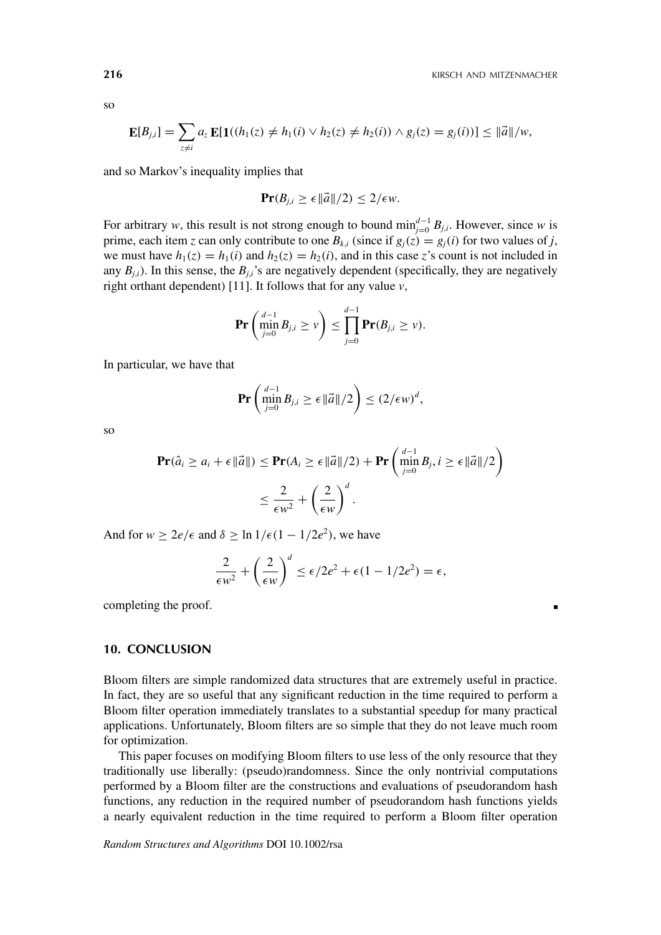п

$$
\mathbf{E}[B_{j,i}] = \sum_{z \neq i} a_z \mathbf{E}[\mathbf{1}((h_1(z) \neq h_1(i) \vee h_2(z) \neq h_2(i)) \wedge g_j(z) = g_j(i))] \leq ||\vec{a}||/w,
$$

and so Markov's inequality implies that

$$
\Pr(B_{j,i} \ge \epsilon \|\vec{a}\|/2) \le 2/\epsilon w.
$$

For arbitrary *w*, this result is not strong enough to bound  $\min_{j=0}^{d-1} B_{j,i}$ . However, since *w* is prime, each item *z* can only contribute to one  $B_{k,i}$  (since if  $g_i(z) = g_i(i)$  for two values of *j*, we must have  $h_1(z) = h_1(i)$  and  $h_2(z) = h_2(i)$ , and in this case *z*'s count is not included in any  $B_{j,i}$ ). In this sense, the  $B_{j,i}$ 's are negatively dependent (specifically, they are negatively right orthant dependent) [11]. It follows that for any value *v*,

$$
\mathbf{Pr}\left(\min_{j=0}^{d-1} B_{j,i} \geq v\right) \leq \prod_{j=0}^{d-1} \mathbf{Pr}(B_{j,i} \geq v).
$$

In particular, we have that

$$
\mathbf{Pr}\left(\min_{j=0}^{d-1} B_{j,i} \ge \epsilon \|\vec{a}\|/2\right) \le (2/\epsilon w)^d,
$$

so

$$
\begin{aligned} \mathbf{Pr}(\hat{a}_i \geq a_i + \epsilon ||\vec{a}||) &\leq \mathbf{Pr}(A_i \geq \epsilon ||\vec{a}||/2) + \mathbf{Pr}\left(\min_{j=0}^{d-1} B_j, i \geq \epsilon ||\vec{a}||/2\right) \\ &\leq \frac{2}{\epsilon w^2} + \left(\frac{2}{\epsilon w}\right)^d. \end{aligned}
$$

And for  $w \ge 2e/\epsilon$  and  $\delta \ge \ln 1/\epsilon (1 - 1/2e^2)$ , we have

$$
\frac{2}{\epsilon w^2} + \left(\frac{2}{\epsilon w}\right)^d \le \epsilon/2e^2 + \epsilon(1 - 1/2e^2) = \epsilon,
$$

completing the proof.

## **10. CONCLUSION**

Bloom filters are simple randomized data structures that are extremely useful in practice. In fact, they are so useful that any significant reduction in the time required to perform a Bloom filter operation immediately translates to a substantial speedup for many practical applications. Unfortunately, Bloom filters are so simple that they do not leave much room for optimization.

This paper focuses on modifying Bloom filters to use less of the only resource that they traditionally use liberally: (pseudo)randomness. Since the only nontrivial computations performed by a Bloom filter are the constructions and evaluations of pseudorandom hash functions, any reduction in the required number of pseudorandom hash functions yields a nearly equivalent reduction in the time required to perform a Bloom filter operation

*Random Structures and Algorithms* DOI 10.1002/rsa

so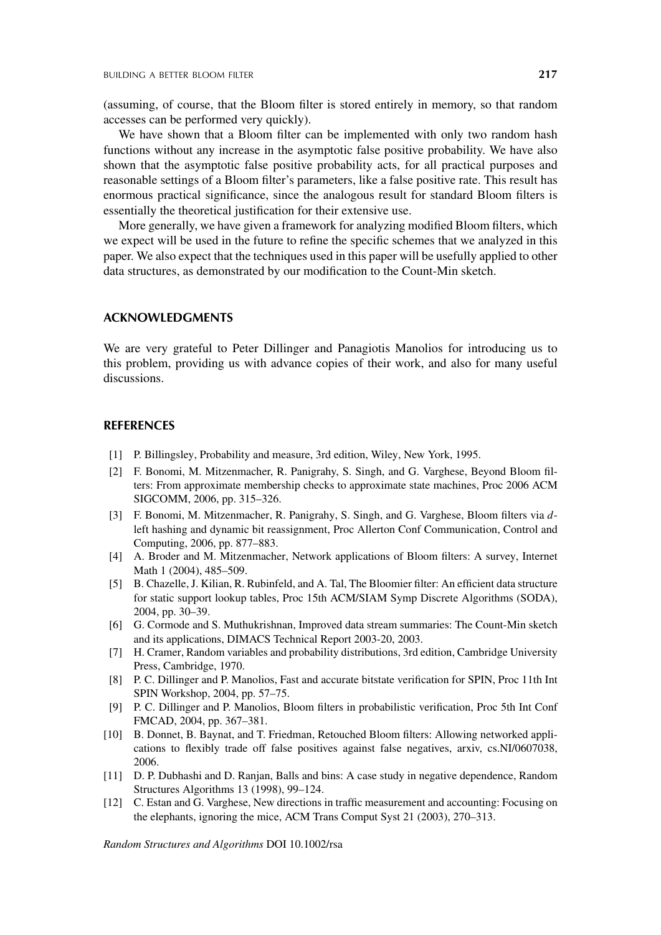(assuming, of course, that the Bloom filter is stored entirely in memory, so that random accesses can be performed very quickly).

We have shown that a Bloom filter can be implemented with only two random hash functions without any increase in the asymptotic false positive probability. We have also shown that the asymptotic false positive probability acts, for all practical purposes and reasonable settings of a Bloom filter's parameters, like a false positive rate. This result has enormous practical significance, since the analogous result for standard Bloom filters is essentially the theoretical justification for their extensive use.

More generally, we have given a framework for analyzing modified Bloom filters, which we expect will be used in the future to refine the specific schemes that we analyzed in this paper. We also expect that the techniques used in this paper will be usefully applied to other data structures, as demonstrated by our modification to the Count-Min sketch.

## **ACKNOWLEDGMENTS**

We are very grateful to Peter Dillinger and Panagiotis Manolios for introducing us to this problem, providing us with advance copies of their work, and also for many useful discussions.

# **REFERENCES**

- [1] P. Billingsley, Probability and measure, 3rd edition, Wiley, New York, 1995.
- [2] F. Bonomi, M. Mitzenmacher, R. Panigrahy, S. Singh, and G. Varghese, Beyond Bloom filters: From approximate membership checks to approximate state machines, Proc 2006 ACM SIGCOMM, 2006, pp. 315–326.
- [3] F. Bonomi, M. Mitzenmacher, R. Panigrahy, S. Singh, and G. Varghese, Bloom filters via *d*left hashing and dynamic bit reassignment, Proc Allerton Conf Communication, Control and Computing, 2006, pp. 877–883.
- [4] A. Broder and M. Mitzenmacher, Network applications of Bloom filters: A survey, Internet Math 1 (2004), 485-509.
- [5] B. Chazelle, J. Kilian, R. Rubinfeld, and A. Tal, The Bloomier filter: An efficient data structure for static support lookup tables, Proc 15th ACM/SIAM Symp Discrete Algorithms (SODA), 2004, pp. 30–39.
- [6] G. Cormode and S. Muthukrishnan, Improved data stream summaries: The Count-Min sketch and its applications, DIMACS Technical Report 2003-20, 2003.
- [7] H. Cramer, Random variables and probability distributions, 3rd edition, Cambridge University Press, Cambridge, 1970.
- [8] P. C. Dillinger and P. Manolios, Fast and accurate bitstate verification for SPIN, Proc 11th Int SPIN Workshop, 2004, pp. 57–75.
- [9] P. C. Dillinger and P. Manolios, Bloom filters in probabilistic verification, Proc 5th Int Conf FMCAD, 2004, pp. 367–381.
- [10] B. Donnet, B. Baynat, and T. Friedman, Retouched Bloom filters: Allowing networked applications to flexibly trade off false positives against false negatives, arxiv, cs.NI/0607038, 2006.
- [11] D. P. Dubhashi and D. Ranjan, Balls and bins: A case study in negative dependence, Random Structures Algorithms 13 (1998), 99–124.
- [12] C. Estan and G. Varghese, New directions in traffic measurement and accounting: Focusing on the elephants, ignoring the mice, ACM Trans Comput Syst 21 (2003), 270–313.